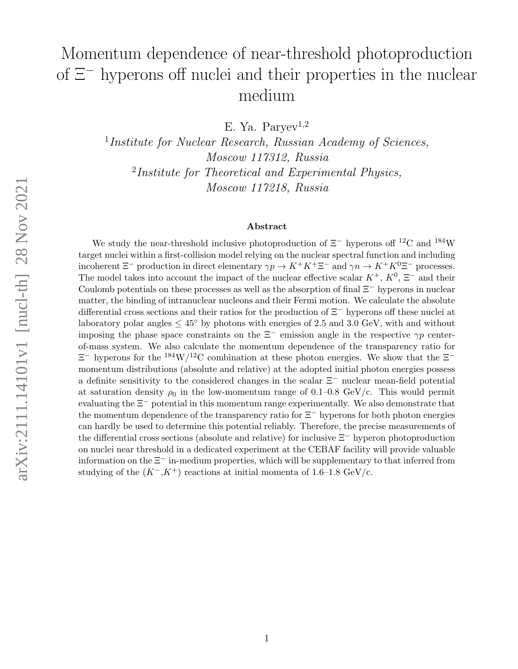# Momentum dependence of near-threshold photoproduction of Ξ<sup>−</sup> hyperons off nuclei and their properties in the nuclear medium

E. Ya. Paryev<sup>1,2</sup>

<sup>1</sup>Institute for Nuclear Research, Russian Academy of Sciences, Moscow 117312, Russia <sup>2</sup>Institute for Theoretical and Experimental Physics, Moscow 117218, Russia

#### Abstract

We study the near-threshold inclusive photoproduction of  $\Xi^-$  hyperons of  $12^{\circ}$ C and  $184^{\circ}$ W target nuclei within a first-collision model relying on the nuclear spectral function and including incoherent  $\Xi^-$  production in direct elementary  $\gamma p \to K^+K^+\Xi^-$  and  $\gamma n \to K^+K^0\Xi^-$  processes. The model takes into account the impact of the nuclear effective scalar  $K^+$ ,  $K^0$ ,  $\Xi^-$  and their Coulomb potentials on these processes as well as the absorption of final Ξ<sup>−</sup> hyperons in nuclear matter, the binding of intranuclear nucleons and their Fermi motion. We calculate the absolute differential cross sections and their ratios for the production of Ξ<sup>−</sup> hyperons off these nuclei at laboratory polar angles  $\leq 45^{\circ}$  by photons with energies of 2.5 and 3.0 GeV, with and without imposing the phase space constraints on the  $\Xi^-$  emission angle in the respective  $\gamma p$  centerof-mass system. We also calculate the momentum dependence of the transparency ratio for  $\Xi^-$  hyperons for the <sup>184</sup>W/<sup>12</sup>C combination at these photon energies. We show that the  $\Xi^$ momentum distributions (absolute and relative) at the adopted initial photon energies possess a definite sensitivity to the considered changes in the scalar Ξ<sup>−</sup> nuclear mean-field potential at saturation density  $\rho_0$  in the low-momentum range of 0.1–0.8 GeV/c. This would permit evaluating the  $\Xi^-$  potential in this momentum range experimentally. We also demonstrate that the momentum dependence of the transparency ratio for Ξ<sup>−</sup> hyperons for both photon energies can hardly be used to determine this potential reliably. Therefore, the precise measurements of the differential cross sections (absolute and relative) for inclusive Ξ<sup>−</sup> hyperon photoproduction on nuclei near threshold in a dedicated experiment at the CEBAF facility will provide valuable information on the  $\Xi^-$  in-medium properties, which will be supplementary to that inferred from studying of the  $(K^-, K^+)$  reactions at initial momenta of 1.6–1.8 GeV/c.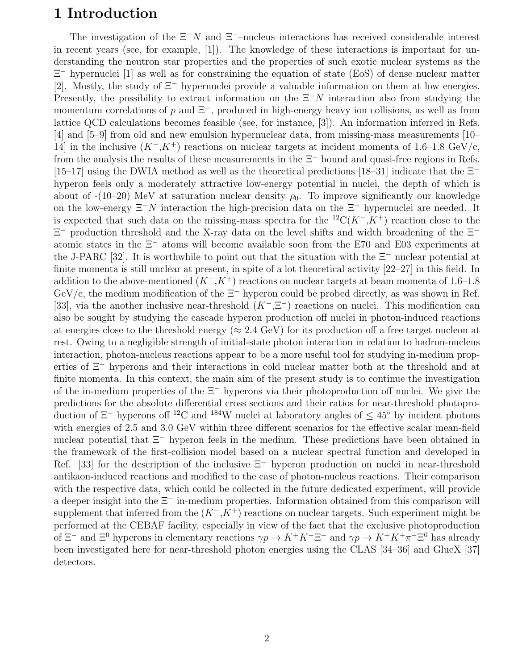### 1 Introduction

The investigation of the  $\Xi^-N$  and  $\Xi^-$ –nucleus interactions has received considerable interest in recent years (see, for example, [1]). The knowledge of these interactions is important for understanding the neutron star properties and the properties of such exotic nuclear systems as the Ξ <sup>−</sup> hypernuclei [1] as well as for constraining the equation of state (EoS) of dense nuclear matter [2]. Mostly, the study of Ξ<sup>−</sup> hypernuclei provide a valuable information on them at low energies. Presently, the possibility to extract information on the  $\Xi^-N$  interaction also from studying the momentum correlations of p and  $\Xi^-$ , produced in high-energy heavy ion collisions, as well as from lattice QCD calculations becomes feasible (see, for instance, [3]). An information inferred in Refs. [4] and [5–9] from old and new emulsion hypernuclear data, from missing-mass measurements [10– 14] in the inclusive  $(K^-, K^+)$  reactions on nuclear targets at incident momenta of 1.6–1.8 GeV/c, from the analysis the results of these measurements in the  $\Xi^-$  bound and quasi-free regions in Refs. [15–17] using the DWIA method as well as the theoretical predictions [18–31] indicate that the  $\Xi^$ hyperon feels only a moderately attractive low-energy potential in nuclei, the depth of which is about of  $-(10-20)$  MeV at saturation nuclear density  $\rho_0$ . To improve significantly our knowledge on the low-energy  $\Xi^-N$  interaction the high-precision data on the  $\Xi^-$  hypernuclei are needed. It is expected that such data on the missing-mass spectra for the <sup>12</sup>C( $K^-$ , $K^+$ ) reaction close to the Ξ <sup>−</sup> production threshold and the X-ray data on the level shifts and width broadening of the Ξ<sup>−</sup> atomic states in the Ξ<sup>−</sup> atoms will become available soon from the E70 and E03 experiments at the J-PARC [32]. It is worthwhile to point out that the situation with the  $\Xi^-$  nuclear potential at finite momenta is still unclear at present, in spite of a lot theoretical activity [22–27] in this field. In addition to the above-mentioned  $(K<sup>-</sup>, K<sup>+</sup>)$  reactions on nuclear targets at beam momenta of 1.6–1.8 GeV/c, the medium modification of the  $\Xi^-$  hyperon could be probed directly, as was shown in Ref. [33], via the another inclusive near-threshold  $(K^-, \Xi^-)$  reactions on nuclei. This modification can also be sought by studying the cascade hyperon production off nuclei in photon-induced reactions at energies close to the threshold energy ( $\approx 2.4$  GeV) for its production off a free target nucleon at rest. Owing to a negligible strength of initial-state photon interaction in relation to hadron-nucleus interaction, photon-nucleus reactions appear to be a more useful tool for studying in-medium properties of Ξ<sup>−</sup> hyperons and their interactions in cold nuclear matter both at the threshold and at finite momenta. In this context, the main aim of the present study is to continue the investigation of the in-medium properties of the  $\Xi^-$  hyperons via their photoproduction off nuclei. We give the predictions for the absolute differential cross sections and their ratios for near-threshold photoproduction of  $\Xi^-$  hyperons of <sup>12</sup>C and <sup>184</sup>W nuclei at laboratory angles of  $\leq 45^\circ$  by incident photons with energies of 2.5 and 3.0 GeV within three different scenarios for the effective scalar mean-field nuclear potential that  $\Xi^-$  hyperon feels in the medium. These predictions have been obtained in the framework of the first-collision model based on a nuclear spectral function and developed in Ref. [33] for the description of the inclusive  $\Xi^-$  hyperon production on nuclei in near-threshold antikaon-induced reactions and modified to the case of photon-nucleus reactions. Their comparison with the respective data, which could be collected in the future dedicated experiment, will provide a deeper insight into the Ξ<sup>−</sup> in-medium properties. Information obtained from this comparison will supplement that inferred from the  $(K<sup>-</sup>, K<sup>+</sup>)$  reactions on nuclear targets. Such experiment might be performed at the CEBAF facility, especially in view of the fact that the exclusive photoproduction of  $\Xi^-$  and  $\Xi^0$  hyperons in elementary reactions  $\gamma p \to K^+K^+\Xi^-$  and  $\gamma p \to K^+K^+\pi^-\Xi^0$  has already been investigated here for near-threshold photon energies using the CLAS [34–36] and GlueX [37] detectors.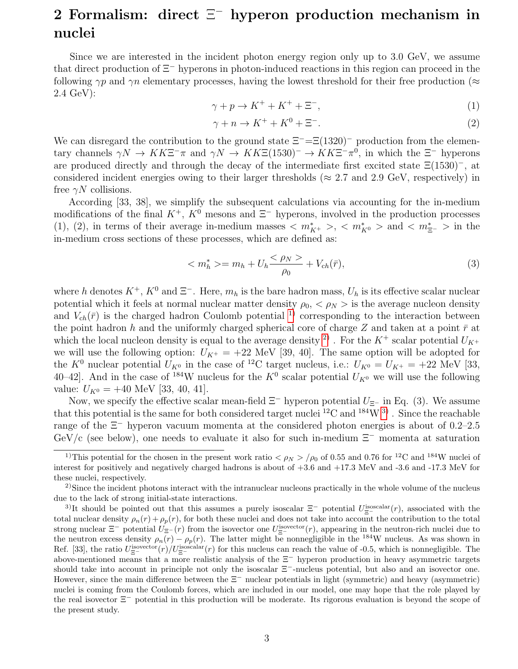## 2 Formalism: direct  $\Xi^-$  hyperon production mechanism in nuclei

Since we are interested in the incident photon energy region only up to 3.0 GeV, we assume that direct production of Ξ<sup>−</sup> hyperons in photon-induced reactions in this region can proceed in the following  $\gamma p$  and  $\gamma n$  elementary processes, having the lowest threshold for their free production ( $\approx$ 2.4 GeV):

$$
\gamma + p \to K^+ + K^+ + \Xi^-, \tag{1}
$$

$$
\gamma + n \to K^+ + K^0 + \Xi^-.
$$
 (2)

We can disregard the contribution to the ground state  $\Xi$ <sup>-</sup>= $\Xi$ (1320)<sup>-</sup> production from the elementary channels  $\gamma N \to K K \Xi^- \pi$  and  $\gamma N \to K K \Xi (1530)^- \to K K \Xi^- \pi^0$ , in which the  $\Xi^-$  hyperons are produced directly and through the decay of the intermediate first excited state Ξ(1530)<sup>−</sup>, at considered incident energies owing to their larger thresholds ( $\approx 2.7$  and 2.9 GeV, respectively) in free  $\gamma N$  collisions.

According [33, 38], we simplify the subsequent calculations via accounting for the in-medium modifications of the final  $K^+$ ,  $K^0$  mesons and  $\Xi^-$  hyperons, involved in the production processes (1), (2), in terms of their average in-medium masses  $\langle m_{K^+}^* \rangle$ ,  $\langle m_{K^0}^* \rangle$  and  $\langle m_{\Xi^-}^* \rangle$  in the in-medium cross sections of these processes, which are defined as:

$$
\langle m_h^* \rangle = m_h + U_h \frac{\langle \rho_N \rangle}{\rho_0} + V_{ch}(\bar{r}), \tag{3}
$$

where h denotes  $K^+$ ,  $K^0$  and  $\Xi^-$ . Here,  $m_h$  is the bare hadron mass,  $U_h$  is its effective scalar nuclear potential which it feels at normal nuclear matter density  $\rho_0, \langle \rho_N \rangle$  is the average nucleon density and  $V_{ch}(\bar{r})$  is the charged hadron Coulomb potential <sup>[1\)](#page-2-0)</sup> corresponding to the interaction between the point hadron h and the uniformly charged spherical core of charge Z and taken at a point  $\bar{r}$  at which the local nucleon density is equal to the average density <sup>[2\)](#page-2-1)</sup>. For the  $K^+$  scalar potential  $U_{K^+}$ we will use the following option:  $U_{K^+} = +22$  MeV [39, 40]. The same option will be adopted for the  $K^0$  nuclear potential  $U_{K^0}$  in the case of <sup>12</sup>C target nucleus, i.e.:  $U_{K^0} = U_{K^+} = +22$  MeV [33, 40–42]. And in the case of <sup>184</sup>W nucleus for the  $K^0$  scalar potential  $U_{K^0}$  we will use the following value:  $U_{K^0} = +40$  MeV [33, 40, 41].

Now, we specify the effective scalar mean-field  $\Xi^-$  hyperon potential  $U_{\Xi^-}$  in Eq. (3). We assume that this potential is the same for both considered target nuclei  ${}^{12}$ C and  ${}^{184}$ W  ${}^{3)}$  ${}^{3)}$  ${}^{3)}$ . Since the reachable range of the Ξ<sup>−</sup> hyperon vacuum momenta at the considered photon energies is about of 0.2–2.5 GeV/c (see below), one needs to evaluate it also for such in-medium  $\Xi^-$  momenta at saturation

<span id="page-2-0"></span><sup>&</sup>lt;sup>1)</sup>This potential for the chosen in the present work ratio  $\langle \rho_N \rangle / \rho_0$  of 0.55 and 0.76 for <sup>12</sup>C and <sup>184</sup>W nuclei of interest for positively and negatively charged hadrons is about of +3.6 and +17.3 MeV and -3.6 and -17.3 MeV for these nuclei, respectively.

<span id="page-2-1"></span><sup>&</sup>lt;sup>2)</sup>Since the incident photons interact with the intranuclear nucleons practically in the whole volume of the nucleus due to the lack of strong initial-state interactions.

<span id="page-2-2"></span><sup>&</sup>lt;sup>3)</sup>It should be pointed out that this assumes a purely isoscalar  $\Xi^-$  potential  $U_{\Xi^-}^{\text{isoscalar}}(r)$ , associated with the total nuclear density  $\rho_n(r) + \rho_n(r)$ , for both these nuclei and does not take into account the contribution to the total strong nuclear  $\Xi^-$  potential  $U_{\Xi^-}(r)$  from the isovector one  $U_{\Xi^-}^{\text{isovector}}(r)$ , appearing in the neutron-rich nuclei due to the neutron excess density  $\rho_n(r) - \rho_p(r)$ . The latter might be nonnegligible in the <sup>184</sup>W nucleus. As was shown in Ref. [33], the ratio  $U_{\Xi^-}^{\text{isovector}}(r)/U_{\Xi^-}^{\text{isoscalar}}(r)$  for this nucleus can reach the value of -0.5, which is nonnegligible. The above-mentioned means that a more realistic analysis of the Ξ<sup>−</sup> hyperon production in heavy asymmetric targets should take into account in principle not only the isoscalar  $\Xi^-$ -nucleus potential, but also and an isovector one. However, since the main difference between the Ξ<sup>−</sup> nuclear potentials in light (symmetric) and heavy (asymmetric) nuclei is coming from the Coulomb forces, which are included in our model, one may hope that the role played by the real isovector Ξ<sup>−</sup> potential in this production will be moderate. Its rigorous evaluation is beyond the scope of the present study.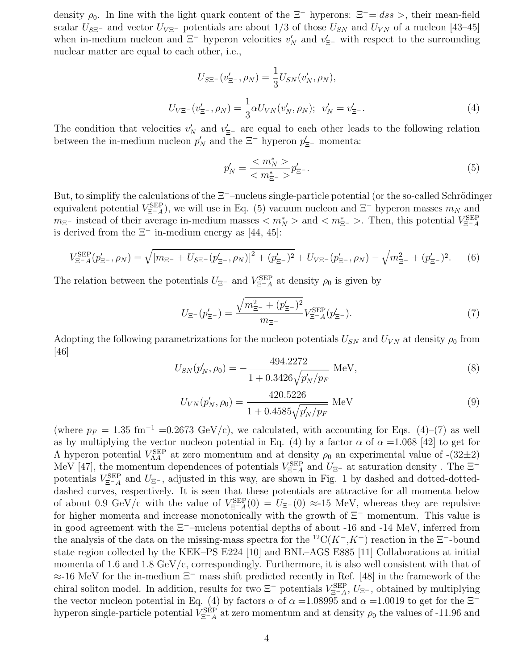density  $\rho_0$ . In line with the light quark content of the  $\Xi^-$  hyperons:  $\Xi^-$ = $|dss>$ , their mean-field scalar  $U_{\overline{S}^{\pm}}$  and vector  $U_{V\Xi^-}$  potentials are about 1/3 of those  $U_{SN}$  and  $U_{VN}$  of a nucleon [43–45] when in-medium nucleon and  $\Xi^-$  hyperon velocities  $v'_N$  and  $v'_{\Xi^-}$  with respect to the surrounding nuclear matter are equal to each other, i.e.,

$$
U_{S\Xi^{-}}(v'_{\Xi^{-}}, \rho_{N}) = \frac{1}{3} U_{SN}(v'_{N}, \rho_{N}),
$$
  

$$
U_{V\Xi^{-}}(v'_{\Xi^{-}}, \rho_{N}) = \frac{1}{3} \alpha U_{VN}(v'_{N}, \rho_{N}); \quad v'_{N} = v'_{\Xi^{-}}.
$$
 (4)

The condition that velocities  $v'_N$  and  $v'_{\Xi^-}$  are equal to each other leads to the following relation between the in-medium nucleon  $p'_N$  and the  $\Xi^-$  hyperon  $p'_{\Xi^-}$  momenta:

$$
p'_N = \frac{}{} p'_{\Xi^-}.
$$
\n(5)

But, to simplify the calculations of the  $\Xi^-$ –nucleus single-particle potential (or the so-called Schrödinger equivalent potential  $V_{\Xi^-A}^{\text{SEP}}$ , we will use in Eq. (5) vacuum nucleon and  $\Xi^-$  hyperon masses  $m_N$  and  $m_{\Xi^-}$  instead of their average in-medium masses  $\langle m_N^* \rangle$  and  $\langle m_{\Xi^-}^* \rangle$ . Then, this potential  $V_{\Xi^-A}^{\text{SEP}}$ is derived from the  $\Xi^-$  in-medium energy as [44, 45]:

$$
V_{\Xi^-A}^{\rm SEP}(p'_{\Xi^-}, \rho_N) = \sqrt{[m_{\Xi^-} + U_{S\Xi^-}(p'_{\Xi^-}, \rho_N)]^2 + (p'_{\Xi^-})^2} + U_{V\Xi^-}(p'_{\Xi^-}, \rho_N) - \sqrt{m_{\Xi^-}^2 + (p'_{\Xi^-})^2}.
$$
 (6)

The relation between the potentials  $U_{\Xi^-}$  and  $V_{\Xi^-A}^{\text{SEP}}$  at density  $\rho_0$  is given by

$$
U_{\Xi^{-}}(p'_{\Xi^{-}}) = \frac{\sqrt{m_{\Xi^{-}}^{2} + (p'_{\Xi^{-}})^{2}}}{m_{\Xi^{-}}} V_{\Xi^{-}A}^{\text{SEP}}(p'_{\Xi^{-}}). \tag{7}
$$

Adopting the following parametrizations for the nucleon potentials  $U_{SN}$  and  $U_{VN}$  at density  $\rho_0$  from [46]

$$
U_{SN}(p'_N, \rho_0) = -\frac{494.2272}{1 + 0.3426 \sqrt{p'_N/p_F}} \text{ MeV},\tag{8}
$$

$$
U_{VN}(p'_N, \rho_0) = \frac{420.5226}{1 + 0.4585\sqrt{p'_N/p_F}} \text{ MeV}
$$
\n(9)

(where  $p_F = 1.35$  fm<sup>-1</sup> =0.2673 GeV/c), we calculated, with accounting for Eqs. (4)–(7) as well as by multiplying the vector nucleon potential in Eq. (4) by a factor  $\alpha$  of  $\alpha =1.068$  [42] to get for  $Λ$  hyperon potential  $V_{\Lambda A}^{\text{SEP}}$  at zero momentum and at density  $ρ_0$  an experimental value of  $-(32±2)$ MeV [47], the momentum dependences of potentials  $V_{\Xi^-A}^{\text{SEP}}$  and  $U_{\Xi^-}$  at saturation density. The  $\Xi^$ potentials  $V_{\Xi^-A}^{\text{SEP}}$  and  $U_{\Xi^-}$ , adjusted in this way, are shown in Fig. 1 by dashed and dotted-dotteddashed curves, respectively. It is seen that these potentials are attractive for all momenta below of about 0.9 GeV/c with the value of  $V_{\Xi^-A}^{\text{SEP}}(0) = U_{\Xi^-}(0) \approx 15$  MeV, whereas they are repulsive for higher momenta and increase monotonically with the growth of Ξ<sup>−</sup> momentum. This value is in good agreement with the Ξ<sup>−</sup>–nucleus potential depths of about -16 and -14 MeV, inferred from the analysis of the data on the missing-mass spectra for the <sup>12</sup>C(K<sup>-</sup>,K<sup>+</sup>) reaction in the  $\Xi$ <sup>-</sup>-bound state region collected by the KEK–PS E224 [10] and BNL–AGS E885 [11] Collaborations at initial momenta of 1.6 and 1.8 GeV/c, correspondingly. Furthermore, it is also well consistent with that of ≈-16 MeV for the in-medium Ξ<sup>−</sup> mass shift predicted recently in Ref. [48] in the framework of the chiral soliton model. In addition, results for two  $\Xi^-$  potentials  $V_{\Xi^-A}^{\text{SEP}}$ ,  $U_{\Xi^-}$ , obtained by multiplying the vector nucleon potential in Eq. (4) by factors  $\alpha$  of  $\alpha =1.08995$  and  $\alpha =1.0019$  to get for the  $\Xi^$ hyperon single-particle potential  $V_{\Xi^-A}^{\text{SEP}}$  at zero momentum and at density  $\rho_0$  the values of -11.96 and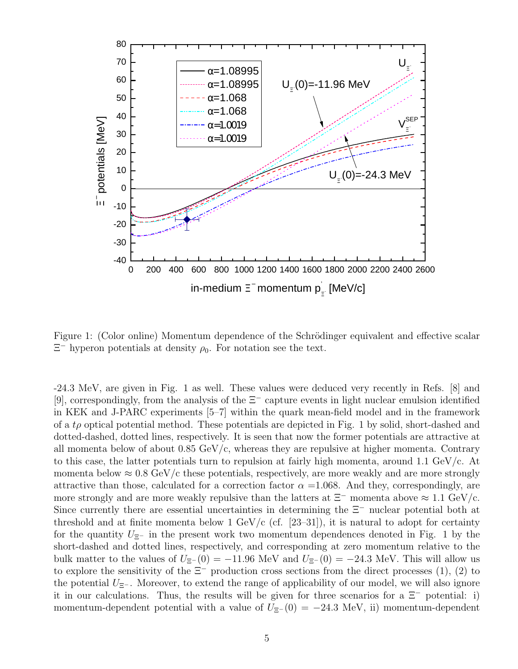

Figure 1: (Color online) Momentum dependence of the Schrödinger equivalent and effective scalar  $\Xi^-$  hyperon potentials at density  $\rho_0$ . For notation see the text.

-24.3 MeV, are given in Fig. 1 as well. These values were deduced very recently in Refs. [8] and [9], correspondingly, from the analysis of the Ξ<sup>−</sup> capture events in light nuclear emulsion identified in KEK and J-PARC experiments [5–7] within the quark mean-field model and in the framework of a  $t\rho$  optical potential method. These potentials are depicted in Fig. 1 by solid, short-dashed and dotted-dashed, dotted lines, respectively. It is seen that now the former potentials are attractive at all momenta below of about  $0.85 \text{ GeV}/c$ , whereas they are repulsive at higher momenta. Contrary to this case, the latter potentials turn to repulsion at fairly high momenta, around 1.1 GeV/c. At momenta below  $\approx 0.8 \text{ GeV/c}$  these potentials, respectively, are more weakly and are more strongly attractive than those, calculated for a correction factor  $\alpha = 1.068$ . And they, correspondingly, are more strongly and are more weakly repulsive than the latters at  $\Xi^-$  momenta above  $\approx 1.1 \text{ GeV/c}$ . Since currently there are essential uncertainties in determining the Ξ<sup>−</sup> nuclear potential both at threshold and at finite momenta below 1 GeV/c (cf.  $[23-31]$ ), it is natural to adopt for certainty for the quantity  $U_{\Xi^-}$  in the present work two momentum dependences denoted in Fig. 1 by the short-dashed and dotted lines, respectively, and corresponding at zero momentum relative to the bulk matter to the values of  $U_{\Xi^-}(0) = -11.96$  MeV and  $U_{\Xi^-}(0) = -24.3$  MeV. This will allow us to explore the sensitivity of the  $\Xi^-$  production cross sections from the direct processes (1), (2) to the potential  $U_{\Xi^-}$ . Moreover, to extend the range of applicability of our model, we will also ignore it in our calculations. Thus, the results will be given for three scenarios for a  $\Xi^-$  potential: i) momentum-dependent potential with a value of  $U_{\Xi^-}(0) = -24.3 \text{ MeV}$ , ii) momentum-dependent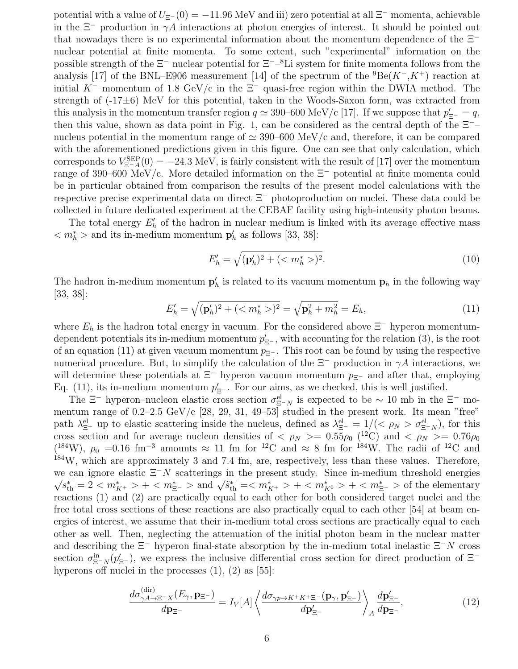potential with a value of  $U_{\Xi^-}(0) = -11.96 \text{ MeV}$  and iii) zero potential at all  $\Xi^-$  momenta, achievable in the  $\Xi^-$  production in  $\gamma A$  interactions at photon energies of interest. It should be pointed out that nowadays there is no experimental information about the momentum dependence of the  $\Xi$ <sup>−</sup> nuclear potential at finite momenta. To some extent, such "experimental" information on the possible strength of the  $\Xi^-$  nuclear potential for  $\Xi^{-}$ –<sup>8</sup>Li system for finite momenta follows from the analysis [17] of the BNL–E906 measurement [14] of the spectrum of the  ${}^{9}Be(K^-, K^+)$  reaction at initial K<sup>−</sup> momentum of 1.8 GeV/c in the  $\Xi$ <sup>−</sup> quasi-free region within the DWIA method. The strength of  $(-17\pm6)$  MeV for this potential, taken in the Woods-Saxon form, was extracted from this analysis in the momentum transfer region  $q \simeq 390-600$  MeV/c [17]. If we suppose that  $p'_{\Xi^-} = q$ , then this value, shown as data point in Fig. 1, can be considered as the central depth of the  $\Xi$ <sup>-</sup> nucleus potential in the momentum range of  $\simeq 390-600 \text{ MeV/c}$  and, therefore, it can be compared with the aforementioned predictions given in this figure. One can see that only calculation, which corresponds to  $V_{\Xi^-A}^{\text{SEP}}(0) = -24.3 \text{ MeV}$ , is fairly consistent with the result of [17] over the momentum range of 390–600 MeV/c. More detailed information on the Ξ<sup>−</sup> potential at finite momenta could be in particular obtained from comparison the results of the present model calculations with the respective precise experimental data on direct Ξ<sup>−</sup> photoproduction on nuclei. These data could be collected in future dedicated experiment at the CEBAF facility using high-intensity photon beams.

The total energy  $E'_{h}$  of the hadron in nuclear medium is linked with its average effective mass  $m_h^*$  > and its in-medium momentum  $p'_h$  as follows [33, 38]:

$$
E'_h = \sqrt{(\mathbf{p}'_h)^2 + (\langle m^*_h \rangle)^2}.
$$
\n(10)

The hadron in-medium momentum  $\mathbf{p}'_h$  is related to its vacuum momentum  $\mathbf{p}_h$  in the following way [33, 38]:

$$
E'_{h} = \sqrt{(\mathbf{p}'_{h})^2 + (\langle m_{h}^* \rangle)^2} = \sqrt{\mathbf{p}_{h}^2 + m_{h}^2} = E_{h},\tag{11}
$$

where  $E_h$  is the hadron total energy in vacuum. For the considered above  $\Xi^-$  hyperon momentumdependent potentials its in-medium momentum  $p'_{\Xi^-}$ , with accounting for the relation (3), is the root of an equation (11) at given vacuum momentum  $p_{\Xi^-}$ . This root can be found by using the respective numerical procedure. But, to simplify the calculation of the  $\Xi^-$  production in  $\gamma A$  interactions, we will determine these potentials at  $\Xi^-$  hyperon vacuum momentum  $p_{\Xi^-}$  and after that, employing Eq. (11), its in-medium momentum  $p'_{\Xi^-}$ . For our aims, as we checked, this is well justified.

The  $\Xi^-$  hyperon–nucleon elastic cross section  $\sigma_{\Xi^-N}^{\text{el}}$  is expected to be  $\sim 10$  mb in the  $\Xi^-$  momentum range of 0.2–2.5 GeV/c [28, 29, 31, 49–53] studied in the present work. Its mean "free" path  $\lambda_{\Xi^-}^{\text{el}}$  up to elastic scattering inside the nucleus, defined as  $\lambda_{\Xi^-}^{\text{el}} = 1/(<\rho_N > \sigma_{\Xi^-N}^{\text{el}})$ , for this cross section and for average nucleon densities of  $\langle \rho_N \rangle = 0.55 \rho_0$  (<sup>12</sup>C) and  $\langle \rho_N \rangle = 0.76 \rho_0$  $(184W)$ ,  $\rho_0$  =0.16 fm<sup>-3</sup> amounts ≈ 11 fm for <sup>12</sup>C and ≈ 8 fm for <sup>184</sup>W. The radii of <sup>12</sup>C and <sup>184</sup>W, which are approximately 3 and 7.4 fm, are, respectively, less than these values. Therefore, we can ignore elastic  $\Xi^-N$  scatterings in the present study. Since in-medium threshold energies  $\frac{s}{s_{\text{th}}^*} = 2 < m_{K^+}^* > + < m_{\Xi^-}^* >$  and  $\sqrt{\tilde{s}_{\text{th}}^*} = < m_{K^+}^* > + < m_{K^0}^* > + < m_{\Xi^-}^* >$  of the elementary reactions (1) and (2) are practically equal to each other for both considered target nuclei and the free total cross sections of these reactions are also practically equal to each other [54] at beam energies of interest, we assume that their in-medium total cross sections are practically equal to each other as well. Then, neglecting the attenuation of the initial photon beam in the nuclear matter and describing the  $\Xi^-$  hyperon final-state absorption by the in-medium total inelastic  $\Xi^-N$  cross section  $\sigma_{\Xi^-N}^{\text{in}}(p_{\Xi^-}^{\prime})$ , we express the inclusive differential cross section for direct production of  $\Xi^$ hyperons off nuclei in the processes  $(1)$ ,  $(2)$  as  $[55]$ :

$$
\frac{d\sigma_{\gamma A \to \Xi^- X}^{\text{(dir)}}(E_\gamma, \mathbf{p}_{\Xi^-})}{d\mathbf{p}_{\Xi^-}} = I_V[A] \left\langle \frac{d\sigma_{\gamma p \to K^+ K^+ \Xi^-}(\mathbf{p}_\gamma, \mathbf{p}_{\Xi^-}')}{d\mathbf{p}_{\Xi^-}' \right\rangle_A} \frac{d\mathbf{p}_{\Xi^-}'}{d\mathbf{p}_{\Xi^-}},\tag{12}
$$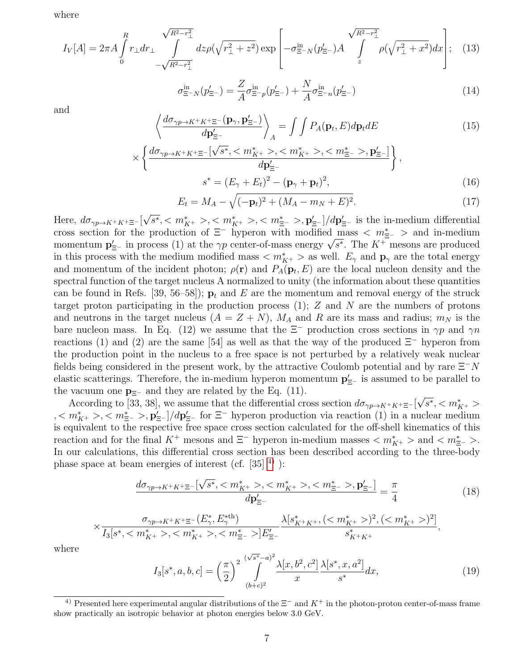where

$$
I_V[A] = 2\pi A \int_0^R r_\perp dr_\perp \int_{-\sqrt{R^2 - r_\perp^2}}^{\sqrt{R^2 - r_\perp^2}} dz \rho(\sqrt{r_\perp^2 + z^2}) \exp\left[ -\sigma_{\Xi^- N}^{\text{in}}(p_{\Xi^-}^\prime) A \int_z^{\sqrt{R^2 - r_\perp^2}} \rho(\sqrt{r_\perp^2 + x^2}) dx \right]; \quad (13)
$$

$$
\sigma_{\Xi^-N}^{\text{in}}(p_{\Xi^-}') = \frac{Z}{A}\sigma_{\Xi^-p}^{\text{in}}(p_{\Xi^-}') + \frac{N}{A}\sigma_{\Xi^-n}^{\text{in}}(p_{\Xi^-}') \tag{14}
$$

and

$$
\left\langle \frac{d\sigma_{\gamma p \to K^+ K^+ \Xi^-}(\mathbf{p}_{\gamma}, \mathbf{p}'_{\Xi^-})}{d\mathbf{p}'_{\Xi^-}} \right\rangle_A = \int \int P_A(\mathbf{p}_t, E) d\mathbf{p}_t dE \tag{15}
$$

$$
\times \left\{ \frac{d\sigma_{\gamma p \to K^{+} K^{+} \Xi^{-}}[\sqrt{s^*}, , , , \mathbf{p}'_{\Xi^{-}}]}{d\mathbf{p}'_{\Xi^{-}}} \right\},
$$
  

$$
s^* = (E_{\gamma} + E_t)^2 - (\mathbf{p}_{\gamma} + \mathbf{p}_t)^2,
$$
 (16)

$$
E_t = M_A - \sqrt{(-\mathbf{p}_t)^2 + (M_A - m_N + E)^2}.
$$
 (17)

Here,  $d\sigma_{\gamma p \to K^+K^+\Xi^-}$ [ √  $\overline{s^*}, \langle m_{K^+}^* \rangle, \langle m_{K^+}^* \rangle, \langle m_{\Xi^-}^* \rangle, \mathbf{p}'_{\Xi^-}]/d\mathbf{p}'_{\Xi^-}$  is the in-medium differential cross section for the production of  $\Xi^-$  hyperon with modified mass  $\langle m^*_{\Xi^-} \rangle$  and in-medium cross section for the production of  $\approx$  hyperon with modified mass  $\langle m_{\Xi^-} \rangle$  and in-medium<br>momentum  $\mathbf{p}'_{\Xi^-}$  in process (1) at the  $\gamma p$  center-of-mass energy  $\sqrt{s^*}$ . The  $K^+$  mesons are produced in this process with the medium modified mass  $\langle m_{K^+}^* \rangle$  as well.  $E_\gamma$  and  $\mathbf{p}_\gamma$  are the total energy and momentum of the incident photon;  $\rho(\mathbf{r})$  and  $P_A(\mathbf{p}_t, E)$  are the local nucleon density and the spectral function of the target nucleus A normalized to unity (the information about these quantities can be found in Refs. [39, 56–58]);  $\mathbf{p}_t$  and E are the momentum and removal energy of the struck target proton participating in the production process  $(1)$ ; Z and N are the numbers of protons and neutrons in the target nucleus  $(A = Z + N)$ ,  $M_A$  and R are its mass and radius;  $m_N$  is the bare nucleon mass. In Eq. (12) we assume that the  $\Xi^-$  production cross sections in  $\gamma p$  and  $\gamma n$ reactions (1) and (2) are the same [54] as well as that the way of the produced  $\Xi^-$  hyperon from the production point in the nucleus to a free space is not perturbed by a relatively weak nuclear fields being considered in the present work, by the attractive Coulomb potential and by rare  $\Xi^-N$ elastic scatterings. Therefore, the in-medium hyperon momentum  $\mathbf{p}'_{\Xi^-}$  is assumed to be parallel to the vacuum one  $\mathbf{p}_{\Xi^-}$  and they are related by the Eq. (11). √

According to [33, 38], we assume that the differential cross section  $d\sigma_{\gamma p\to K^+K^+\Xi^-}$  $\overline{s^*}, \langle m^*_{K^+} \rangle$  $0, < m_{K^+}^*$ ,  $0, < m_{\Xi^-}^*$ ,  $\mathbf{p}_{\Xi^-}'$  |/d $\mathbf{p}_{\Xi^-}'$  for  $\Xi^-$  hyperon production via reaction (1) in a nuclear medium is equivalent to the respective free space cross section calculated for the off-shell kinematics of this reaction and for the final K<sup>+</sup> mesons and  $\Xi^-$  hyperon in-medium masses  $\langle m^*_{K^+} \rangle$  and  $\langle m^*_{\Xi^-} \rangle$ . In our calculations, this differential cross section has been described according to the three-body phase space at beam energies of interest (cf.  $[35]$ <sup>[4\)](#page-6-0)</sup>):

$$
\frac{d\sigma_{\gamma p \to K^{+} K^{+} \Xi^{-}}[\sqrt{s^*}, , , , \mathbf{p}_{\Xi^{-}}']}{d\mathbf{p}_{\Xi^{-}}'} = \frac{\pi}{4}
$$
(18)

$$
\times \frac{\sigma_{\gamma p \to K^+ K^+ \Xi^-}(E_\gamma^*,E_\gamma^{* \text{th}})}{I_3[s^*,,,]E_{\Xi^-}'} \frac{\lambda[s_{K^+ K^+}^*,<(m_{K^+}^*)^2,(
$$

where

$$
I_3[s^*, a, b, c] = \left(\frac{\pi}{2}\right)^2 \int_{(b+c)^2}^{(\sqrt{s^*} - a)^2} \frac{\lambda[x, b^2, c^2]}{x} \frac{\lambda[s^*, x, a^2]}{s^*} dx,
$$
\n(19)

<span id="page-6-0"></span><sup>&</sup>lt;sup>4)</sup> Presented here experimental angular distributions of the  $\Xi^-$  and  $K^+$  in the photon-proton center-of-mass frame show practically an isotropic behavior at photon energies below 3.0 GeV.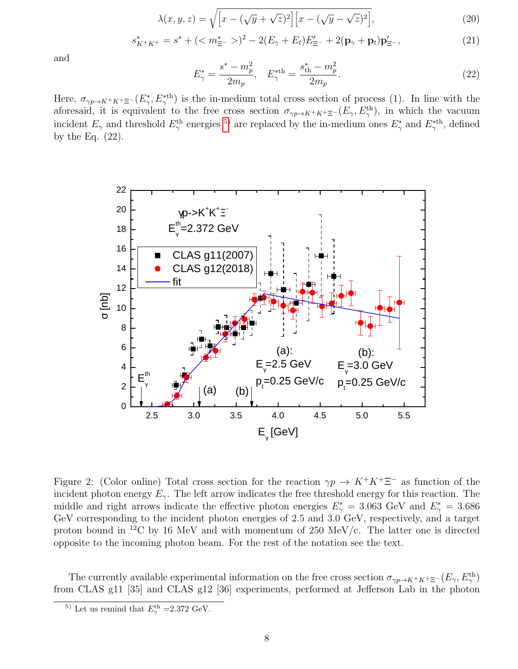$$
\lambda(x, y, z) = \sqrt{\left[x - (\sqrt{y} + \sqrt{z})^2\right]\left[x - (\sqrt{y} - \sqrt{z})^2\right]},\tag{20}
$$

$$
s_{K^+K^+}^* = s^* + (\langle m_{\Xi^-}^* \rangle)^2 - 2(E_\gamma + E_t)E_{\Xi^-}' + 2(\mathbf{p}_\gamma + \mathbf{p}_t)\mathbf{p}_{\Xi^-}',
$$
\n(21)

and

$$
E_{\gamma}^{*} = \frac{s^{*} - m_{p}^{2}}{2m_{p}}, \quad E_{\gamma}^{* \text{th}} = \frac{s_{\text{th}}^{*} - m_{p}^{2}}{2m_{p}}.
$$
\n(22)

Here,  $\sigma_{\gamma p \to K^+ K^+ \Xi^-}(E^*_{\gamma}, E^*_{\gamma}^{\ast th})$  is the in-medium total cross section of process (1). In line with the aforesaid, it is equivalent to the free cross section  $\sigma_{\gamma p \to K^+ K^+ \Xi^-}(E_\gamma, E_\gamma^{\text{th}})$ , in which the vacuum incident  $E_\gamma$  and threshold  $E_\gamma^{\text{th}}$  energies <sup>[5\)](#page-7-0)</sup> are replaced by the in-medium ones  $E_\gamma^*$  and  $E_\gamma^{*{\text{th}}}$ , defined by the Eq. (22).



Figure 2: (Color online) Total cross section for the reaction  $\gamma p \to K^+K^+\Xi^-$  as function of the incident photon energy  $E_{\gamma}$ . The left arrow indicates the free threshold energy for this reaction. The middle and right arrows indicate the effective photon energies  $E^*_{\gamma} = 3.063$  GeV and  $E^*_{\gamma} = 3.686$ GeV corresponding to the incident photon energies of 2.5 and 3.0 GeV, respectively, and a target proton bound in <sup>12</sup>C by 16 MeV and with momentum of 250 MeV/c. The latter one is directed opposite to the incoming photon beam. For the rest of the notation see the text.

The currently available experimental information on the free cross section  $\sigma_{\gamma p \to K^+ K^+ \Xi^-}(E_\gamma, E_\gamma^{\text{th}})$ from CLAS g11 [35] and CLAS g12 [36] experiments, performed at Jefferson Lab in the photon

<span id="page-7-0"></span><sup>&</sup>lt;sup>5)</sup> Let us remind that  $E_{\gamma}^{\text{th}}$  =2.372 GeV.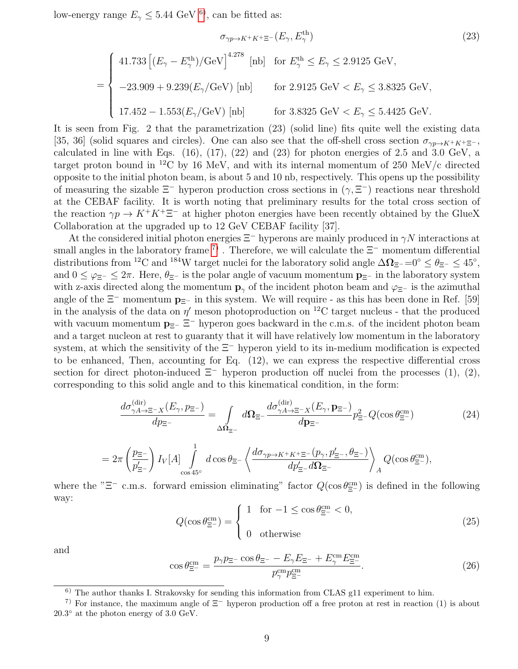low-energy range  $E_{\gamma} \leq 5.44$  GeV <sup>[6\)](#page-8-0)</sup>, can be fitted as:

$$
\sigma_{\gamma p \to K^+ K^+ \Xi^-}(E_\gamma, E_\gamma^{\text{th}})
$$
\n
$$
(23)
$$

$$
= \begin{cases} \n41.733 \left[ (E_{\gamma} - E_{\gamma}^{\text{th}}) / \text{GeV} \right]^{4.278} \text{ [nb]} & \text{for } E_{\gamma}^{\text{th}} \le E_{\gamma} \le 2.9125 \text{ GeV}, \\ \n-23.909 + 9.239 (E_{\gamma} / \text{GeV}) \text{ [nb]} & \text{for } 2.9125 \text{ GeV} < E_{\gamma} \le 3.8325 \text{ GeV}, \\ \n17.452 - 1.553 (E_{\gamma} / \text{GeV}) \text{ [nb]} & \text{for } 3.8325 \text{ GeV} < E_{\gamma} \le 5.4425 \text{ GeV}. \n\end{cases}
$$

It is seen from Fig. 2 that the parametrization (23) (solid line) fits quite well the existing data [35, 36] (solid squares and circles). One can also see that the off-shell cross section  $\sigma_{\gamma p\to K^+K^+\Xi^-}$ , calculated in line with Eqs.  $(16)$ ,  $(17)$ ,  $(22)$  and  $(23)$  for photon energies of 2.5 and 3.0 GeV, a target proton bound in <sup>12</sup>C by 16 MeV, and with its internal momentum of 250 MeV/c directed opposite to the initial photon beam, is about 5 and 10 nb, respectively. This opens up the possibility of measuring the sizable  $\Xi^-$  hyperon production cross sections in  $(\gamma, \Xi^-)$  reactions near threshold at the CEBAF facility. It is worth noting that preliminary results for the total cross section of the reaction  $\gamma p \to K^+ K^+ \Xi^-$  at higher photon energies have been recently obtained by the GlueX Collaboration at the upgraded up to 12 GeV CEBAF facility [37].

At the considered initial photon energies  $\Xi^-$  hyperons are mainly produced in  $\gamma N$  interactions at small angles in the laboratory frame <sup>[7\)](#page-8-1)</sup>. Therefore, we will calculate the  $\Xi^-$  momentum differential distributions from <sup>12</sup>C and <sup>184</sup>W target nuclei for the laboratory solid angle  $\Delta \Omega_{\Xi^-} = 0$ °  $\leq \theta_{\Xi^-} \leq 45$ °, and  $0 \leq \varphi_{\Xi^-} \leq 2\pi$ . Here,  $\theta_{\Xi^-}$  is the polar angle of vacuum momentum  $\mathbf{p}_{\Xi^-}$  in the laboratory system with z-axis directed along the momentum  $\mathbf{p}_{\gamma}$  of the incident photon beam and  $\varphi_{\Xi^-}$  is the azimuthal angle of the  $\Xi^-$  momentum  $\mathbf{p}_{\Xi^-}$  in this system. We will require - as this has been done in Ref. [59] in the analysis of the data on  $\eta'$  meson photoproduction on <sup>12</sup>C target nucleus - that the produced with vacuum momentum  $\mathbf{p}_{\Xi^-}$   $\Xi^-$  hyperon goes backward in the c.m.s. of the incident photon beam and a target nucleon at rest to guaranty that it will have relatively low momentum in the laboratory system, at which the sensitivity of the Ξ<sup>−</sup> hyperon yield to its in-medium modification is expected to be enhanced, Then, accounting for Eq. (12), we can express the respective differential cross section for direct photon-induced  $\Xi^-$  hyperon production off nuclei from the processes (1), (2), corresponding to this solid angle and to this kinematical condition, in the form:

$$
\frac{d\sigma_{\gamma A \to \Xi^- X}^{\text{(dir)}}(E_\gamma, p_{\Xi^-})}{dp_{\Xi^-}} = \int_{\Delta \Omega_{\Xi^-}} d\Omega_{\Xi^-} \frac{d\sigma_{\gamma A \to \Xi^- X}^{\text{(dir)}}(E_\gamma, p_{\Xi^-})}{dp_{\Xi^-}} p_{\Xi^-}^2 Q(\cos \theta_{\Xi^-}^{\text{cm}})
$$
(24)

$$
=2\pi\left(\frac{p_{\Xi^-}}{p_{\Xi^-}'}\right)I_V[A]\int\limits_{\cos 45^\circ}^1 d\cos\theta_{\Xi^-}\left\langle \frac{d\sigma_{\gamma p\to K^+K^+\Xi^-}(p_\gamma,p_{\Xi^-}',\theta_{\Xi^-})}{dp_{\Xi^-}'d\Omega_{\Xi^-}}\right\rangle_AQ(\cos\theta_{\Xi^-}^{\rm cm}),
$$

where the " $\Xi^-$  c.m.s. forward emission eliminating" factor  $Q(\cos \theta_{\Xi^-}^{\text{cm}})$  is defined in the following way:

$$
Q(\cos \theta_{\Xi^{-}}^{\text{cm}}) = \begin{cases} 1 & \text{for } -1 \leq \cos \theta_{\Xi^{-}}^{\text{cm}} < 0, \\ 0 & \text{otherwise} \end{cases} \tag{25}
$$

and

$$
\cos \theta_{\Xi^{-}}^{\text{cm}} = \frac{p_{\gamma} p_{\Xi^{-}} \cos \theta_{\Xi^{-}} - E_{\gamma} E_{\Xi^{-}} + E_{\gamma}^{\text{cm}} E_{\Xi^{-}}^{\text{cm}}}{p_{\gamma}^{\text{cm}} p_{\Xi^{-}}^{\text{cm}}}.
$$
\n(26)

<span id="page-8-1"></span><span id="page-8-0"></span><sup>&</sup>lt;sup>6)</sup> The author thanks I. Strakovsky for sending this information from CLAS g11 experiment to him.

<sup>&</sup>lt;sup>7)</sup> For instance, the maximum angle of  $\Xi^-$  hyperon production off a free proton at rest in reaction (1) is about  $20.3°$  at the photon energy of  $3.0 \text{ GeV}$ .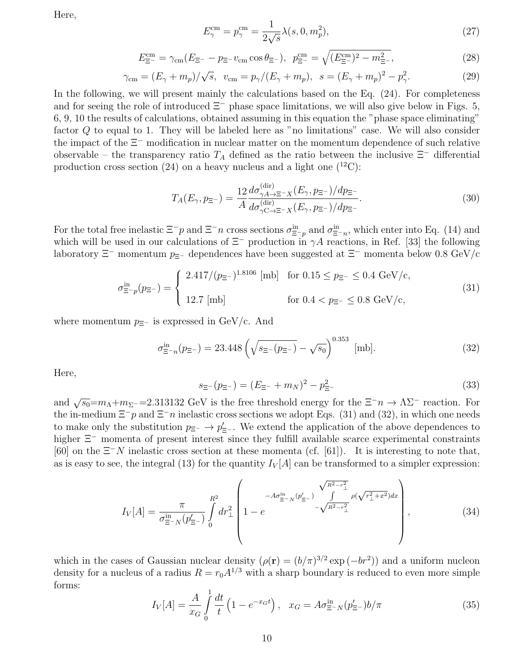Here,

$$
E_{\gamma}^{\rm cm} = p_{\gamma}^{\rm cm} = \frac{1}{2\sqrt{s}} \lambda(s, 0, m_p^2),
$$
\n(27)

$$
E_{\Xi^{-}}^{\rm cm} = \gamma_{\rm cm}(E_{\Xi^{-}} - p_{\Xi^{-}} v_{\rm cm} \cos \theta_{\Xi^{-}}), \ \ p_{\Xi^{-}}^{\rm cm} = \sqrt{(E_{\Xi^{-}}^{\rm cm})^2 - m_{\Xi^{-}}^2}, \tag{28}
$$

$$
\gamma_{\rm cm} = (E_{\gamma} + m_p) / \sqrt{s}, \ \ v_{\rm cm} = p_{\gamma} / (E_{\gamma} + m_p), \ \ s = (E_{\gamma} + m_p)^2 - p_{\gamma}^2. \tag{29}
$$

In the following, we will present mainly the calculations based on the Eq. (24). For completeness and for seeing the role of introduced  $\Xi^-$  phase space limitations, we will also give below in Figs. 5, 6, 9, 10 the results of calculations, obtained assuming in this equation the "phase space eliminating" factor Q to equal to 1. They will be labeled here as "no limitations" case. We will also consider the impact of the Ξ<sup>−</sup> modification in nuclear matter on the momentum dependence of such relative observable – the transparency ratio  $T_A$  defined as the ratio between the inclusive  $\Xi^-$  differential production cross section (24) on a heavy nucleus and a light one  $(^{12}C)$ :

$$
T_A(E_{\gamma}, p_{\Xi^-}) = \frac{12}{A} \frac{d\sigma_{\gamma A \to \Xi^- X}^{\text{(dir)}}(E_{\gamma}, p_{\Xi^-})/dp_{\Xi^-}}{d\sigma_{\gamma C \to \Xi^- X}^{\text{(dir)}}(E_{\gamma}, p_{\Xi^-})/dp_{\Xi^-}}.
$$
\n(30)

For the total free inelastic  $\Xi^-p$  and  $\Xi^-n$  cross sections  $\sigma_{\Xi^-p}^{\text{in}}$  and  $\sigma_{\Xi^-n}^{\text{in}}$ , which enter into Eq. (14) and which will be used in our calculations of  $\Xi^-$  production in  $\gamma A$  reactions, in Ref. [33] the following laboratory  $\Xi^-$  momentum  $p_{\Xi^-}$  dependences have been suggested at  $\Xi^-$  momenta below 0.8 GeV/c

$$
\sigma_{\Xi^- p}^{\text{in}}(p_{\Xi^-}) = \begin{cases} 2.417/(p_{\Xi^-})^{1.8106} \text{ [mb]} & \text{for } 0.15 \le p_{\Xi^-} \le 0.4 \text{ GeV/c}, \\ 12.7 \text{ [mb]} & \text{for } 0.4 < p_{\Xi^-} \le 0.8 \text{ GeV/c}, \end{cases}
$$
(31)

where momentum  $p_{\Xi^-}$  is expressed in GeV/c. And

$$
\sigma_{\Xi^- n}^{\text{in}}(p_{\Xi^-}) = 23.448 \left( \sqrt{s_{\Xi^-}(p_{\Xi^-})} - \sqrt{s_0} \right)^{0.353} \text{ [mb]}.
$$
\n(32)

Here,

$$
s_{\Xi^{-}}(p_{\Xi^{-}}) = (E_{\Xi^{-}} + m_N)^2 - p_{\Xi^{-}}^2
$$
\n(33)

and  $\sqrt{s_0} = m_\Lambda + m_{\Sigma^-} = 2.313132$  GeV is the free threshold energy for the  $\Xi^- n \to \Lambda \Sigma^-$  reaction. For the in-medium  $\Xi^-p$  and  $\Xi^-n$  inelastic cross sections we adopt Eqs. (31) and (32), in which one needs to make only the substitution  $p_{\Xi^-} \to p'_{\Xi^-}$ . We extend the application of the above dependences to higher  $\Xi$ <sup>-</sup> momenta of present interest since they fulfill available scarce experimental constraints [60] on the  $\Xi^-N$  inelastic cross section at these momenta (cf. [61]). It is interesting to note that, as is easy to see, the integral (13) for the quantity  $I_V[A]$  can be transformed to a simpler expression:

$$
I_V[A] = \frac{\pi}{\sigma_{\Xi^- N}^{\text{in}}(p_{\Xi^-}')} \int_0^{R^2} dr_\perp^2 \left( 1 - e^{-A\sigma_{\Xi^- N}^{\text{in}}(p_{\Xi^-}')} \frac{\sqrt{R^2 - r_\perp^2}}{-\sqrt{R^2 - r_\perp^2}} \rho(\sqrt{r_\perp^2 + x^2}) dx \right), \tag{34}
$$

which in the cases of Gaussian nuclear density  $(\rho(\mathbf{r}) = (b/\pi)^{3/2} \exp(-br^2)$  and a uniform nucleon density for a nucleus of a radius  $R = r_0 A^{1/3}$  with a sharp boundary is reduced to even more simple forms:

$$
I_V[A] = \frac{A}{x_G} \int_0^1 \frac{dt}{t} \left( 1 - e^{-x_G t} \right), \quad x_G = A \sigma_{\Xi^- N}^{\text{in}}(p'_{\Xi^-}) b/\pi \tag{35}
$$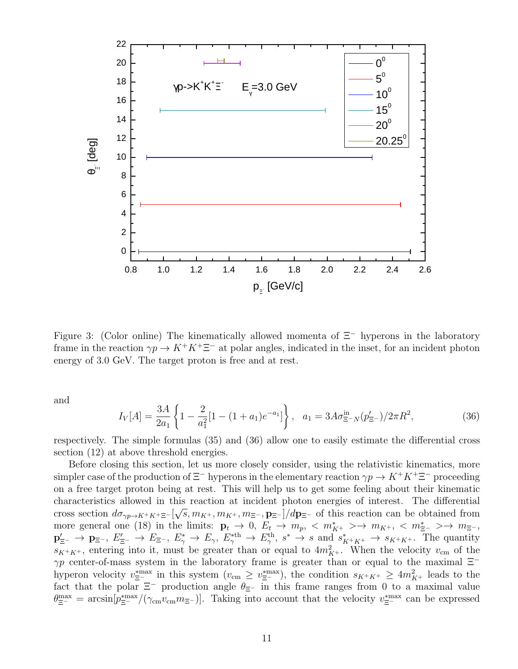

Figure 3: (Color online) The kinematically allowed momenta of Ξ<sup>−</sup> hyperons in the laboratory frame in the reaction  $\gamma p \to K^+ K^+ \Xi^-$  at polar angles, indicated in the inset, for an incident photon energy of 3.0 GeV. The target proton is free and at rest.

and

$$
I_V[A] = \frac{3A}{2a_1} \left\{ 1 - \frac{2}{a_1^2} [1 - (1 + a_1)e^{-a_1}] \right\}, \quad a_1 = 3A\sigma_{\Xi^- N}^{\text{in}}(p_{\Xi^-}^{\prime})/2\pi R^2,\tag{36}
$$

respectively. The simple formulas (35) and (36) allow one to easily estimate the differential cross section (12) at above threshold energies.

Before closing this section, let us more closely consider, using the relativistic kinematics, more simpler case of the production of  $\Xi^-$  hyperons in the elementary reaction  $\gamma p \to K^+ K^+ \Xi^-$  proceeding on a free target proton being at rest. This will help us to get some feeling about their kinematic characteristics allowed in this reaction at incident photon energies of interest. The differential √ cross section  $d\sigma_{\gamma p \to K^+K^+\Xi^-}[\sqrt{s},m_{K^+},m_{K^+},m_{\Xi^-},\mathbf{p}_{\Xi^-}]/d\mathbf{p}_{\Xi^-}$  of this reaction can be obtained from more general one (18) in the limits:  $\mathbf{p}_t \to 0$ ,  $E_t \to m_p$ ,  $\langle m_{K^+}^* \rangle \to m_{K^+}$ ,  $\langle m_{\Xi^-}^* \rangle \to m_{\Xi^-}$ ,  $\mathbf{p}'_{\Xi^-} \to \mathbf{p}_{\Xi^-}, E'_{\Xi^-}, E^*_{\gamma} \to E_{\gamma}, E^*_{\gamma} \to E^{th}_{\gamma}, s^* \to s \text{ and } s^*_{K^+K^+} \to s_{K^+K^+}.$  The quantity  $s_{K^+K^+}$ , entering into it, must be greater than or equal to  $4m_{K^+}^2$ . When the velocity  $v_{\rm cm}$  of the  $\gamma p$  center-of-mass system in the laboratory frame is greater than or equal to the maximal  $\Xi^$ hyperon velocity  $v_{\Xi^-}^{*max}$  in this system  $(v_{\text{cm}} \ge v_{\Xi^-}^{*max})$ , the condition  $s_{K^+K^+} \ge 4m_{K^+}^2$  leads to the fact that the polar  $\Xi^-$  production angle  $\theta_{\Xi^-}$  in this frame ranges from 0 to a maximal value  $\theta_{\Xi^-}^{\max} = \arcsin[p_{\Xi^-}^{*} / (\gamma_{\rm cm} v_{\rm cm} m_{\Xi^-})]$ . Taking into account that the velocity  $v_{\Xi^-}^{*}$  can be expressed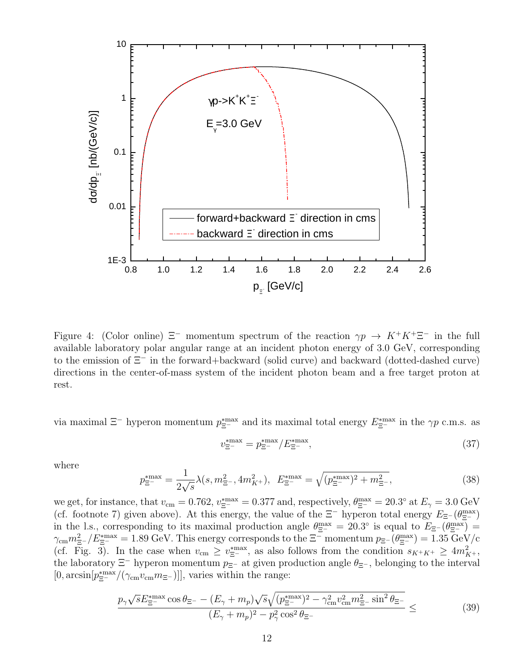

Figure 4: (Color online)  $\Xi^-$  momentum spectrum of the reaction  $\gamma p \to K^+K^+\Xi^-$  in the full available laboratory polar angular range at an incident photon energy of 3.0 GeV, corresponding to the emission of Ξ<sup>−</sup> in the forward+backward (solid curve) and backward (dotted-dashed curve) directions in the center-of-mass system of the incident photon beam and a free target proton at rest.

via maximal  $\Xi^-$  hyperon momentum  $p_{\Xi^-}^{*max}$  and its maximal total energy  $E_{\Xi^-}^{*max}$  in the  $\gamma p$  c.m.s. as

$$
v_{\Xi^{-}}^{\ast \max} = p_{\Xi^{-}}^{\ast \max} / E_{\Xi^{-}}^{\ast \max},\tag{37}
$$

where

$$
p_{\Xi^{-}}^* = \frac{1}{2\sqrt{s}} \lambda(s, m_{\Xi^{-}}^2, 4m_{K^{+}}^2), \quad E_{\Xi^{-}}^{*max} = \sqrt{(p_{\Xi^{-}}^{*max})^2 + m_{\Xi^{-}}^2},\tag{38}
$$

we get, for instance, that  $v_{\rm cm} = 0.762$ ,  $v_{\Xi^-}^{*} = 0.377$  and, respectively,  $\theta_{\Xi^-}^{\rm max} = 20.3^{\circ}$  at  $E_{\gamma} = 3.0$  GeV (cf. footnote 7) given above). At this energy, the value of the  $\Xi^-$  hyperon total energy  $E_{\Xi^-}(\theta_{\Xi^-}^{max})$ in the l.s., corresponding to its maximal production angle  $\theta_{\Xi^-}^{\max} = 20.3^{\circ}$  is equal to  $E_{\Xi^-}(\theta_{\Xi^-}^{\max}) =$  $\gamma_{\rm cm} m_{\Xi^-}^2/E_{\Xi^-}^{* {\rm max}} = 1.89 \ {\rm GeV}$ . This energy corresponds to the  $\Xi^-$  momentum  $p_{\Xi^-}(\theta_{\Xi^-}^{\rm max}) = 1.35 \ {\rm GeV/c}$ (cf. Fig. 3). In the case when  $v_{\rm cm} \ge v_{\Xi^-}^{*max}$ , as also follows from the condition  $s_{K^+K^+} \ge 4m_{K^+}^2$ , the laboratory  $\Xi^-$  hyperon momentum  $p_{\Xi^-}$  at given production angle  $\theta_{\Xi^-}$ , belonging to the interval  $[0, \arcsin[p_{\Xi^-}^{*max}/(\gamma_{\rm cm} v_{\rm cm} m_{\Xi^-})]]$ , varies within the range:

$$
\frac{p_{\gamma}\sqrt{s}E_{\Xi^{-}}^{\ast\max}\cos\theta_{\Xi^{-}} - (E_{\gamma} + m_{p})\sqrt{s}\sqrt{(p_{\Xi^{-}}^{\ast\max})^{2} - \gamma_{\rm cm}^{2}v_{\rm cm}^{2}m_{\Xi^{-}}^{2}\sin^{2}\theta_{\Xi^{-}}}}{(E_{\gamma} + m_{p})^{2} - p_{\gamma}^{2}\cos^{2}\theta_{\Xi^{-}}} \leq (39)
$$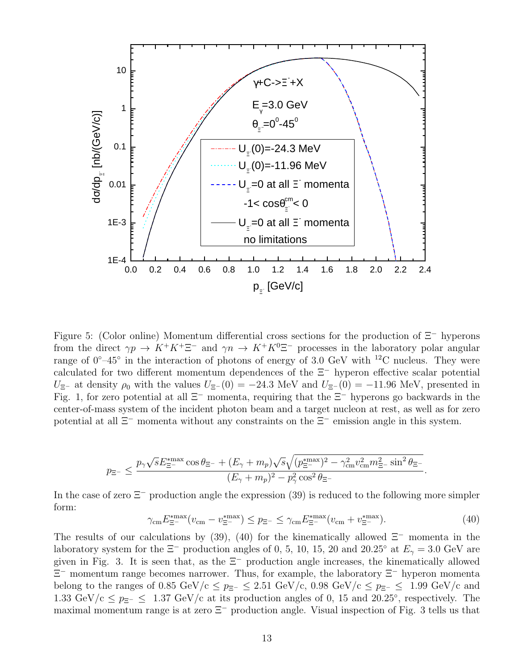

Figure 5: (Color online) Momentum differential cross sections for the production of Ξ<sup>−</sup> hyperons from the direct  $\gamma p \to K^+ K^+ \Xi^-$  and  $\gamma n \to K^+ K^0 \Xi^-$  processes in the laboratory polar angular range of  $0^{\circ}-45^{\circ}$  in the interaction of photons of energy of 3.0 GeV with <sup>12</sup>C nucleus. They were calculated for two different momentum dependences of the Ξ<sup>−</sup> hyperon effective scalar potential  $U_{\Xi^-}$  at density  $\rho_0$  with the values  $U_{\Xi^-}(0) = -24.3$  MeV and  $U_{\Xi^-}(0) = -11.96$  MeV, presented in Fig. 1, for zero potential at all Ξ<sup>−</sup> momenta, requiring that the Ξ<sup>−</sup> hyperons go backwards in the center-of-mass system of the incident photon beam and a target nucleon at rest, as well as for zero potential at all  $\Xi^-$  momenta without any constraints on the  $\Xi^-$  emission angle in this system.

$$
p_{\Xi^-} \leq \frac{p_\gamma \sqrt{s} E_{\Xi^-}^{* {\rm max}} \cos \theta_{\Xi^-} + (E_\gamma + m_p) \sqrt{s} \sqrt{(p_{\Xi^-}^{* {\rm max}})^2 - \gamma_{\rm cm}^2 v_{\rm cm}^2 m_{\Xi^-}^2 \sin^2 \theta_{\Xi^-}}}{(E_\gamma + m_p)^2 - p_\gamma^2 \cos^2 \theta_{\Xi^-}}
$$

In the case of zero Ξ<sup>−</sup> production angle the expression (39) is reduced to the following more simpler form:

γcmE ∗max <sup>Ξ</sup><sup>−</sup> (vcm − v ∗max <sup>Ξ</sup><sup>−</sup> ) ≤ pΞ<sup>−</sup> ≤ γcmE ∗max <sup>Ξ</sup><sup>−</sup> (vcm + v ∗max <sup>Ξ</sup><sup>−</sup> ). (40)

.

The results of our calculations by (39), (40) for the kinematically allowed  $\Xi^-$  momenta in the laboratory system for the  $\Xi^-$  production angles of 0, 5, 10, 15, 20 and 20.25° at  $E_\gamma = 3.0$  GeV are given in Fig. 3. It is seen that, as the  $\Xi^-$  production angle increases, the kinematically allowed Ξ <sup>−</sup> momentum range becomes narrower. Thus, for example, the laboratory Ξ<sup>−</sup> hyperon momenta belong to the ranges of 0.85 GeV/c  $\leq p_{\Xi^-} \leq 2.51$  GeV/c, 0.98 GeV/c  $\leq p_{\Xi^-} \leq 1.99$  GeV/c and 1.33 GeV/c  $\leq p_{\Xi^-} \leq 1.37$  GeV/c at its production angles of 0, 15 and 20.25°, respectively. The maximal momentum range is at zero  $\Xi^-$  production angle. Visual inspection of Fig. 3 tells us that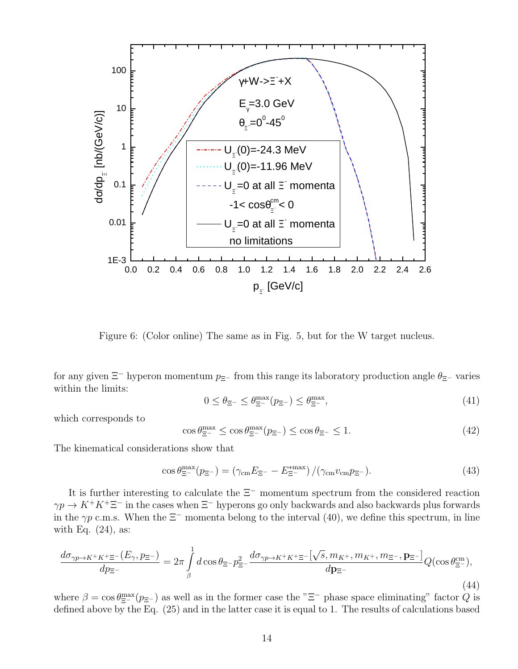

Figure 6: (Color online) The same as in Fig. 5, but for the W target nucleus.

for any given  $\Xi^-$  hyperon momentum  $p_{\Xi^-}$  from this range its laboratory production angle  $\theta_{\Xi^-}$  varies within the limits:

$$
0 \le \theta_{\Xi^{-}} \le \theta_{\Xi^{-}}^{\max}(p_{\Xi^{-}}) \le \theta_{\Xi^{-}}^{\max},\tag{41}
$$

which corresponds to

$$
\cos \theta_{\Xi^{-}}^{\max} \le \cos \theta_{\Xi^{-}}^{\max}(p_{\Xi^{-}}) \le \cos \theta_{\Xi^{-}} \le 1. \tag{42}
$$

The kinematical considerations show that

$$
\cos \theta_{\Xi^{-}}^{\max}(p_{\Xi^{-}}) = (\gamma_{\text{cm}} E_{\Xi^{-}} - E_{\Xi^{-}}^{\max}) / (\gamma_{\text{cm}} v_{\text{cm}} p_{\Xi^{-}}).
$$
\n(43)

It is further interesting to calculate the Ξ<sup>−</sup> momentum spectrum from the considered reaction  $\gamma p \to K^+K^+\Xi^-$  in the cases when  $\Xi^-$  hyperons go only backwards and also backwards plus forwards in the  $\gamma p$  c.m.s. When the  $\Xi^-$  momenta belong to the interval (40), we define this spectrum, in line with Eq.  $(24)$ , as:

$$
\frac{d\sigma_{\gamma p \to K^+ K^+ \Xi^-}(E_\gamma, p_{\Xi^-})}{dp_{\Xi^-}} = 2\pi \int\limits_{\beta}^1 d\cos\theta_{\Xi^-} p_{\Xi^-}^2 \frac{d\sigma_{\gamma p \to K^+ K^+ \Xi^-}[\sqrt{s}, m_{K^+}, m_{K^+}, m_{\Xi^-}, \mathbf{p}_{\Xi^-}]}{d\mathbf{p}_{\Xi^-}} Q(\cos\theta_{\Xi^-}^{\rm cm}),\tag{44}
$$

where  $\beta = \cos \theta_{\Xi^-}^{\max}(p_{\Xi^-})$  as well as in the former case the " $\Xi^-$  phase space eliminating" factor Q is defined above by the Eq. (25) and in the latter case it is equal to 1. The results of calculations based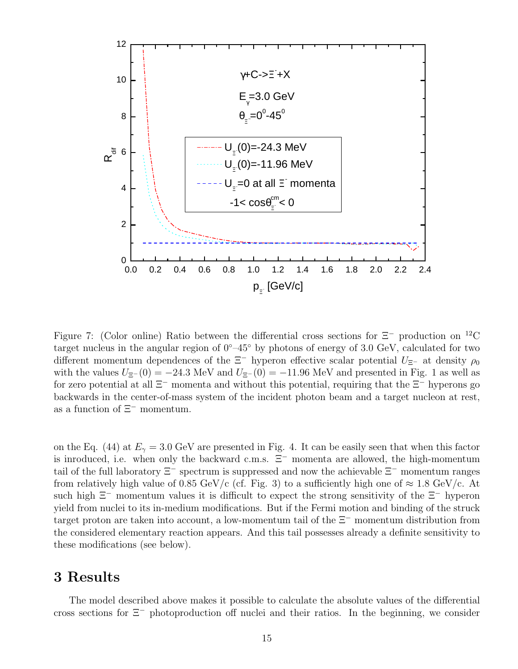

Figure 7: (Color online) Ratio between the differential cross sections for  $\Xi^-$  production on <sup>12</sup>C target nucleus in the angular region of 0◦–45◦ by photons of energy of 3.0 GeV, calculated for two different momentum dependences of the  $\Xi^-$  hyperon effective scalar potential  $U_{\Xi^-}$  at density  $\rho_0$ with the values  $U_{\Xi^-}(0) = -24.3$  MeV and  $U_{\Xi^-}(0) = -11.96$  MeV and presented in Fig. 1 as well as for zero potential at all  $\Xi^-$  momenta and without this potential, requiring that the  $\Xi^-$  hyperons go backwards in the center-of-mass system of the incident photon beam and a target nucleon at rest, as a function of  $\Xi^-$  momentum.

on the Eq. (44) at  $E_{\gamma} = 3.0 \text{ GeV}$  are presented in Fig. 4. It can be easily seen that when this factor is inroduced, i.e. when only the backward c.m.s.  $\Xi^-$  momenta are allowed, the high-momentum tail of the full laboratory  $\Xi^-$  spectrum is suppressed and now the achievable  $\Xi^-$  momentum ranges from relatively high value of 0.85 GeV/c (cf. Fig. 3) to a sufficiently high one of  $\approx 1.8$  GeV/c. At such high  $\Xi^-$  momentum values it is difficult to expect the strong sensitivity of the  $\Xi^-$  hyperon yield from nuclei to its in-medium modifications. But if the Fermi motion and binding of the struck target proton are taken into account, a low-momentum tail of the Ξ<sup>−</sup> momentum distribution from the considered elementary reaction appears. And this tail possesses already a definite sensitivity to these modifications (see below).

### 3 Results

The model described above makes it possible to calculate the absolute values of the differential cross sections for Ξ<sup>−</sup> photoproduction off nuclei and their ratios. In the beginning, we consider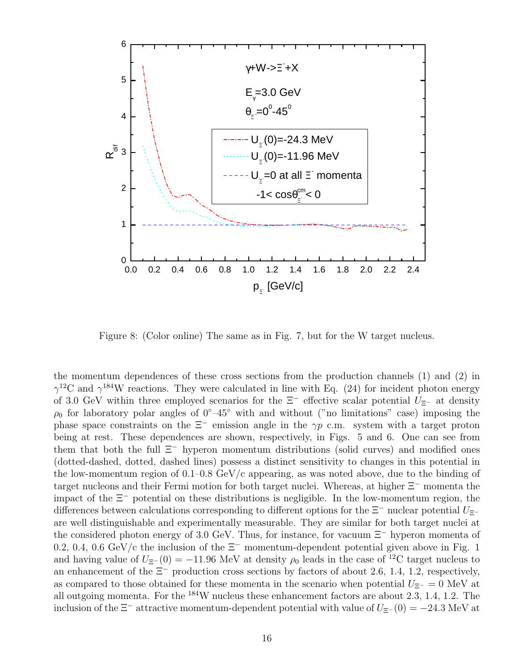

Figure 8: (Color online) The same as in Fig. 7, but for the W target nucleus.

the momentum dependences of these cross sections from the production channels (1) and (2) in  $\gamma^{12}$ C and  $\gamma^{184}$ W reactions. They were calculated in line with Eq. (24) for incident photon energy of 3.0 GeV within three employed scenarios for the  $\Xi^-$  effective scalar potential  $U_{\Xi^-}$  at density  $\rho_0$  for laboratory polar angles of  $0°-45°$  with and without ("no limitations" case) imposing the phase space constraints on the  $\Xi^-$  emission angle in the  $\gamma p$  c.m. system with a target proton being at rest. These dependences are shown, respectively, in Figs. 5 and 6. One can see from them that both the full  $\Xi^-$  hyperon momentum distributions (solid curves) and modified ones (dotted-dashed, dotted, dashed lines) possess a distinct sensitivity to changes in this potential in the low-momentum region of 0.1–0.8 GeV/c appearing, as was noted above, due to the binding of target nucleons and their Fermi motion for both target nuclei. Whereas, at higher Ξ<sup>−</sup> momenta the impact of the Ξ<sup>−</sup> potential on these distributions is negligible. In the low-momentum region, the differences between calculations corresponding to different options for the  $\Xi^-$  nuclear potential  $U_{\Xi^-}$ are well distinguishable and experimentally measurable. They are similar for both target nuclei at the considered photon energy of 3.0 GeV. Thus, for instance, for vacuum Ξ<sup>−</sup> hyperon momenta of 0.2, 0.4, 0.6 GeV/c the inclusion of the  $\Xi^-$  momentum-dependent potential given above in Fig. 1 and having value of  $U_{\Xi^-}(0) = -11.96$  MeV at density  $\rho_0$  leads in the case of <sup>12</sup>C target nucleus to an enhancement of the  $\Xi^-$  production cross sections by factors of about 2.6, 1.4, 1.2, respectively, as compared to those obtained for these momenta in the scenario when potential  $U_{\Xi^-} = 0$  MeV at all outgoing momenta. For the <sup>184</sup>W nucleus these enhancement factors are about 2.3, 1.4, 1.2. The inclusion of the  $\Xi^-$  attractive momentum-dependent potential with value of  $U_{\Xi^-}(0) = -24.3$  MeV at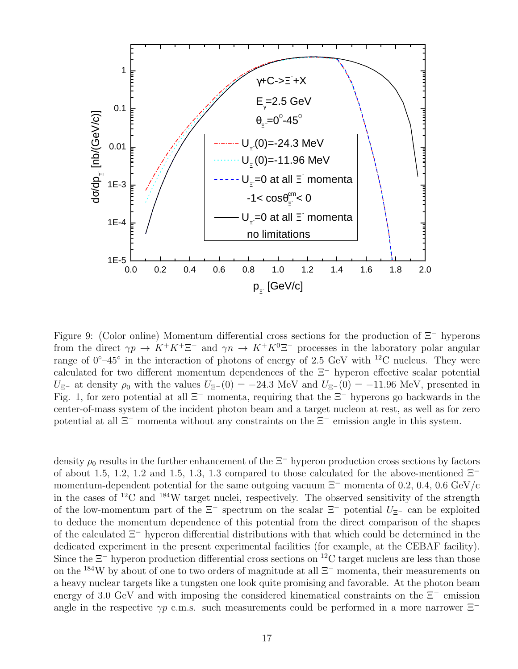

Figure 9: (Color online) Momentum differential cross sections for the production of Ξ<sup>−</sup> hyperons from the direct  $\gamma p \to K^+ K^+ \Xi^-$  and  $\gamma n \to K^+ K^0 \Xi^-$  processes in the laboratory polar angular range of  $0^{\circ}-45^{\circ}$  in the interaction of photons of energy of 2.5 GeV with <sup>12</sup>C nucleus. They were calculated for two different momentum dependences of the Ξ<sup>−</sup> hyperon effective scalar potential  $U_{\Xi^-}$  at density  $\rho_0$  with the values  $U_{\Xi^-}(0) = -24.3$  MeV and  $U_{\Xi^-}(0) = -11.96$  MeV, presented in Fig. 1, for zero potential at all Ξ<sup>−</sup> momenta, requiring that the Ξ<sup>−</sup> hyperons go backwards in the center-of-mass system of the incident photon beam and a target nucleon at rest, as well as for zero potential at all Ξ<sup>−</sup> momenta without any constraints on the Ξ<sup>−</sup> emission angle in this system.

density  $\rho_0$  results in the further enhancement of the  $\Xi^-$  hyperon production cross sections by factors of about 1.5, 1.2, 1.2 and 1.5, 1.3, 1.3 compared to those calculated for the above-mentioned  $\Xi^$ momentum-dependent potential for the same outgoing vacuum  $\Xi^-$  momenta of 0.2, 0.4, 0.6 GeV/c in the cases of <sup>12</sup>C and <sup>184</sup>W target nuclei, respectively. The observed sensitivity of the strength of the low-momentum part of the  $\Xi^-$  spectrum on the scalar  $\Xi^-$  potential  $U_{\Xi^-}$  can be exploited to deduce the momentum dependence of this potential from the direct comparison of the shapes of the calculated Ξ<sup>−</sup> hyperon differential distributions with that which could be determined in the dedicated experiment in the present experimental facilities (for example, at the CEBAF facility). Since the  $\Xi^-$  hyperon production differential cross sections on <sup>12</sup>C target nucleus are less than those on the <sup>184</sup>W by about of one to two orders of magnitude at all  $\Xi^-$  momenta, their measurements on a heavy nuclear targets like a tungsten one look quite promising and favorable. At the photon beam energy of 3.0 GeV and with imposing the considered kinematical constraints on the Ξ<sup>−</sup> emission angle in the respective  $\gamma p$  c.m.s. such measurements could be performed in a more narrower  $\Xi^-$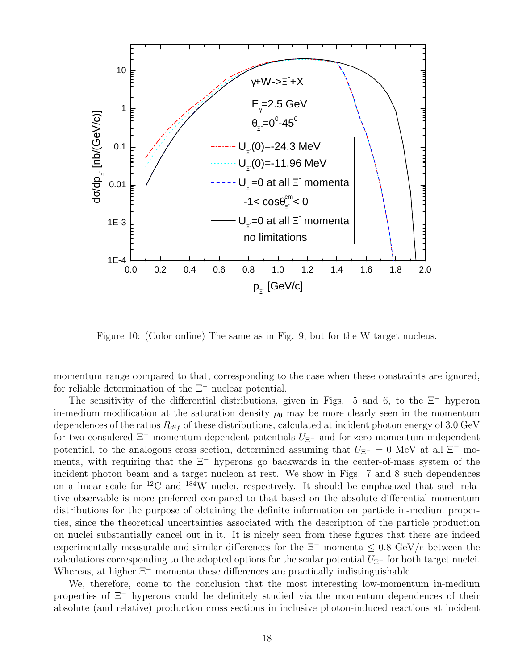

Figure 10: (Color online) The same as in Fig. 9, but for the W target nucleus.

momentum range compared to that, corresponding to the case when these constraints are ignored, for reliable determination of the Ξ<sup>−</sup> nuclear potential.

The sensitivity of the differential distributions, given in Figs. 5 and 6, to the  $\Xi^-$  hyperon in-medium modification at the saturation density  $\rho_0$  may be more clearly seen in the momentum dependences of the ratios  $R_{dif}$  of these distributions, calculated at incident photon energy of 3.0 GeV for two considered  $\Xi^-$  momentum-dependent potentials  $U_{\Xi^-}$  and for zero momentum-independent potential, to the analogous cross section, determined assuming that  $U_{\Xi^-} = 0$  MeV at all  $\Xi^-$  momenta, with requiring that the  $\Xi^-$  hyperons go backwards in the center-of-mass system of the incident photon beam and a target nucleon at rest. We show in Figs. 7 and 8 such dependences on a linear scale for <sup>12</sup>C and <sup>184</sup>W nuclei, respectively. It should be emphasized that such relative observable is more preferred compared to that based on the absolute differential momentum distributions for the purpose of obtaining the definite information on particle in-medium properties, since the theoretical uncertainties associated with the description of the particle production on nuclei substantially cancel out in it. It is nicely seen from these figures that there are indeed experimentally measurable and similar differences for the  $\Xi^-$  momenta  $\leq 0.8$  GeV/c between the calculations corresponding to the adopted options for the scalar potential  $U_{\Xi^-}$  for both target nuclei. Whereas, at higher  $\Xi^-$  momenta these differences are practically indistinguishable.

We, therefore, come to the conclusion that the most interesting low-momentum in-medium properties of Ξ<sup>−</sup> hyperons could be definitely studied via the momentum dependences of their absolute (and relative) production cross sections in inclusive photon-induced reactions at incident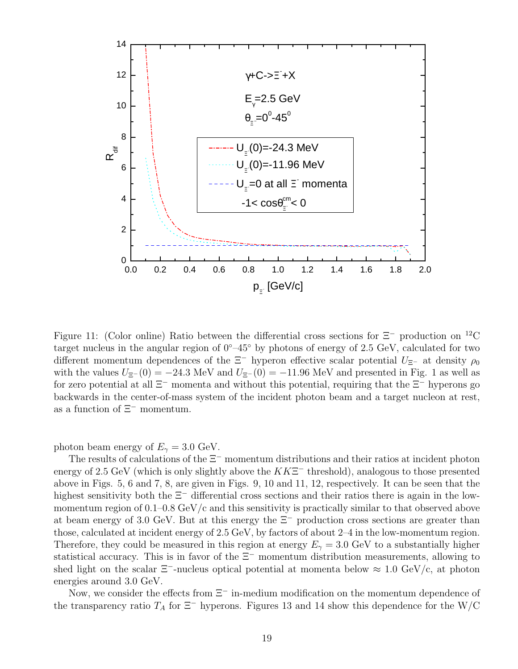

Figure 11: (Color online) Ratio between the differential cross sections for  $\Xi^-$  production on <sup>12</sup>C target nucleus in the angular region of 0◦–45◦ by photons of energy of 2.5 GeV, calculated for two different momentum dependences of the  $\Xi^-$  hyperon effective scalar potential  $U_{\Xi^-}$  at density  $\rho_0$ with the values  $U_{\Xi^-}(0) = -24.3$  MeV and  $U_{\Xi^-}(0) = -11.96$  MeV and presented in Fig. 1 as well as for zero potential at all  $\Xi^-$  momenta and without this potential, requiring that the  $\Xi^-$  hyperons go backwards in the center-of-mass system of the incident photon beam and a target nucleon at rest, as a function of Ξ<sup>−</sup> momentum.

photon beam energy of  $E_{\gamma} = 3.0 \text{ GeV}$ .

The results of calculations of the  $\Xi^-$  momentum distributions and their ratios at incident photon energy of 2.5 GeV (which is only slightly above the  $K K \Xi^-$  threshold), analogous to those presented above in Figs. 5, 6 and 7, 8, are given in Figs. 9, 10 and 11, 12, respectively. It can be seen that the highest sensitivity both the Ξ<sup>−</sup> differential cross sections and their ratios there is again in the lowmomentum region of  $0.1-0.8$  GeV/c and this sensitivity is practically similar to that observed above at beam energy of 3.0 GeV. But at this energy the  $\Xi^-$  production cross sections are greater than those, calculated at incident energy of 2.5 GeV, by factors of about 2–4 in the low-momentum region. Therefore, they could be measured in this region at energy  $E_{\gamma} = 3.0 \text{ GeV}$  to a substantially higher statistical accuracy. This is in favor of the  $\Xi^-$  momentum distribution measurements, allowing to shed light on the scalar  $\Xi^-$ -nucleus optical potential at momenta below  $\approx 1.0 \text{ GeV/c}$ , at photon energies around 3.0 GeV.

Now, we consider the effects from  $\Xi^-$  in-medium modification on the momentum dependence of the transparency ratio  $T_A$  for  $\Xi^-$  hyperons. Figures 13 and 14 show this dependence for the W/C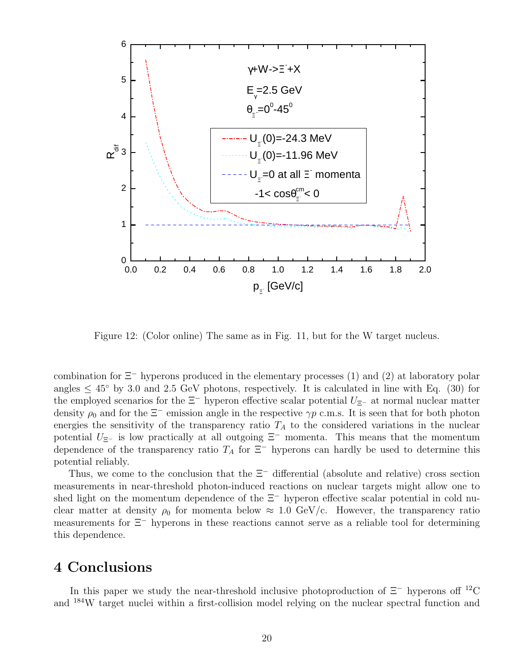

Figure 12: (Color online) The same as in Fig. 11, but for the W target nucleus.

combination for  $\Xi^-$  hyperons produced in the elementary processes (1) and (2) at laboratory polar angles  $\leq 45^{\circ}$  by 3.0 and 2.5 GeV photons, respectively. It is calculated in line with Eq. (30) for the employed scenarios for the  $\Xi^-$  hyperon effective scalar potential  $U_{\Xi^-}$  at normal nuclear matter density  $\rho_0$  and for the  $\Xi^-$  emission angle in the respective  $\gamma p$  c.m.s. It is seen that for both photon energies the sensitivity of the transparency ratio  $T_A$  to the considered variations in the nuclear potential  $U_{\Xi^-}$  is low practically at all outgoing  $\Xi^-$  momenta. This means that the momentum dependence of the transparency ratio  $T_A$  for  $\Xi^-$  hyperons can hardly be used to determine this potential reliably.

Thus, we come to the conclusion that the  $\Xi^-$  differential (absolute and relative) cross section measurements in near-threshold photon-induced reactions on nuclear targets might allow one to shed light on the momentum dependence of the  $\Xi^-$  hyperon effective scalar potential in cold nuclear matter at density  $\rho_0$  for momenta below  $\approx 1.0 \text{ GeV/c}$ . However, the transparency ratio measurements for Ξ<sup>−</sup> hyperons in these reactions cannot serve as a reliable tool for determining this dependence.

### 4 Conclusions

In this paper we study the near-threshold inclusive photoproduction of  $\Xi^-$  hyperons of <sup>12</sup>C and <sup>184</sup>W target nuclei within a first-collision model relying on the nuclear spectral function and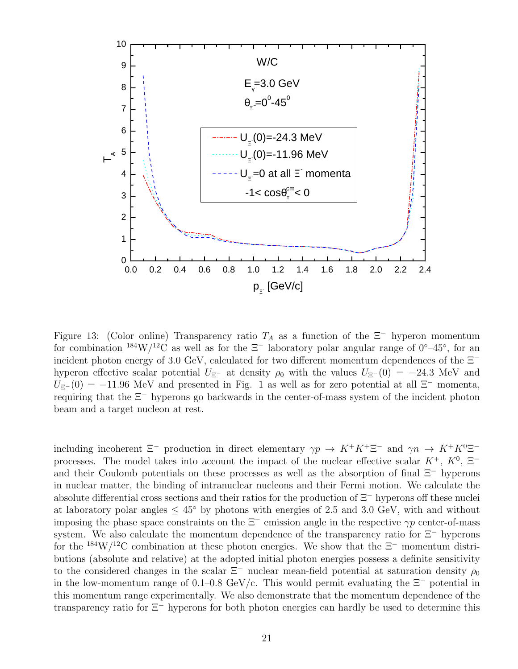

Figure 13: (Color online) Transparency ratio  $T_A$  as a function of the  $\Xi^-$  hyperon momentum for combination  $184 \text{W}/12 \text{C}$  as well as for the  $\Xi^-$  laboratory polar angular range of  $0°-45°$ , for an incident photon energy of 3.0 GeV, calculated for two different momentum dependences of the  $\Xi^$ hyperon effective scalar potential  $U_{\Xi^-}$  at density  $\rho_0$  with the values  $U_{\Xi^-}(0) = -24.3$  MeV and  $U_{\Xi^-}(0) = -11.96$  MeV and presented in Fig. 1 as well as for zero potential at all  $\Xi^-$  momenta, requiring that the Ξ<sup>−</sup> hyperons go backwards in the center-of-mass system of the incident photon beam and a target nucleon at rest.

including incoherent  $\Xi^-$  production in direct elementary  $\gamma p \to K^+ K^+ \Xi^-$  and  $\gamma n \to K^+ K^0 \Xi^$ processes. The model takes into account the impact of the nuclear effective scalar  $K^+$ ,  $K^0$ ,  $\Xi^$ and their Coulomb potentials on these processes as well as the absorption of final  $\Xi^-$  hyperons in nuclear matter, the binding of intranuclear nucleons and their Fermi motion. We calculate the absolute differential cross sections and their ratios for the production of Ξ<sup>−</sup> hyperons off these nuclei at laboratory polar angles  $\leq 45^{\circ}$  by photons with energies of 2.5 and 3.0 GeV, with and without imposing the phase space constraints on the  $\Xi^-$  emission angle in the respective  $\gamma p$  center-of-mass system. We also calculate the momentum dependence of the transparency ratio for  $\Xi$ <sup>-</sup> hyperons for the <sup>184</sup>W/<sup>12</sup>C combination at these photon energies. We show that the  $\Xi^-$  momentum distributions (absolute and relative) at the adopted initial photon energies possess a definite sensitivity to the considered changes in the scalar  $\Xi^-$  nuclear mean-field potential at saturation density  $\rho_0$ in the low-momentum range of 0.1–0.8 GeV/c. This would permit evaluating the  $\Xi^-$  potential in this momentum range experimentally. We also demonstrate that the momentum dependence of the transparency ratio for Ξ<sup>−</sup> hyperons for both photon energies can hardly be used to determine this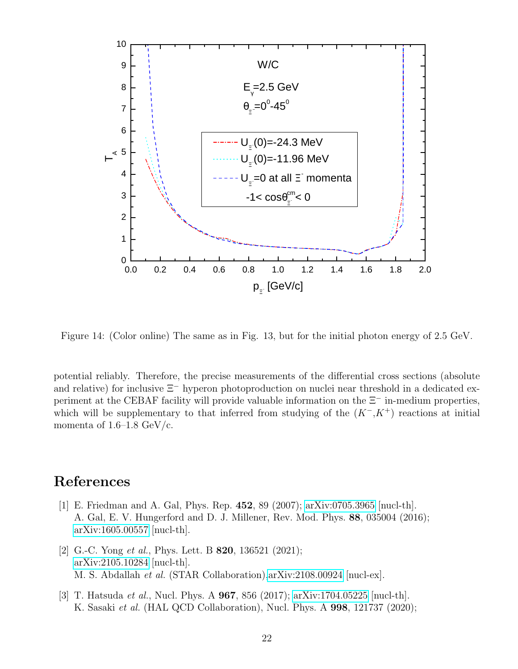

Figure 14: (Color online) The same as in Fig. 13, but for the initial photon energy of 2.5 GeV.

potential reliably. Therefore, the precise measurements of the differential cross sections (absolute and relative) for inclusive Ξ<sup>−</sup> hyperon photoproduction on nuclei near threshold in a dedicated experiment at the CEBAF facility will provide valuable information on the Ξ<sup>−</sup> in-medium properties, which will be supplementary to that inferred from studying of the  $(K<sup>-</sup>, K<sup>+</sup>)$  reactions at initial momenta of  $1.6-1.8 \text{ GeV/c}.$ 

### References

- [1] E. Friedman and A. Gal, Phys. Rep. 452, 89 (2007); [arXiv:0705.3965](http://arxiv.org/abs/0705.3965) [nucl-th]. A. Gal, E. V. Hungerford and D. J. Millener, Rev. Mod. Phys. 88, 035004 (2016); [arXiv:1605.00557](http://arxiv.org/abs/1605.00557) [nucl-th].
- [2] G.-C. Yong *et al.*, Phys. Lett. B **820**, 136521 (2021); [arXiv:2105.10284](http://arxiv.org/abs/2105.10284) [nucl-th]. M. S. Abdallah et al. (STAR Collaboration)[,arXiv:2108.00924](http://arxiv.org/abs/2108.00924) [nucl-ex].
- [3] T. Hatsuda et al., Nucl. Phys. A 967, 856 (2017); [arXiv:1704.05225](http://arxiv.org/abs/1704.05225) [nucl-th]. K. Sasaki et al. (HAL QCD Collaboration), Nucl. Phys. A 998, 121737 (2020);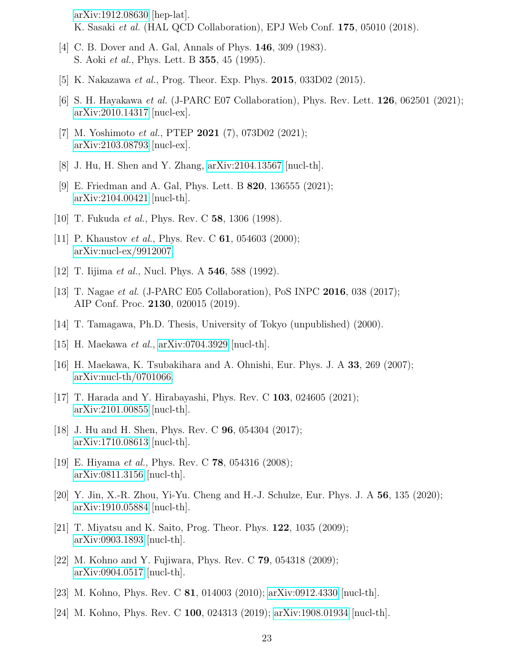[arXiv:1912.08630](http://arxiv.org/abs/1912.08630) [hep-lat]. K. Sasaki et al. (HAL QCD Collaboration), EPJ Web Conf. 175, 05010 (2018).

- [4] C. B. Dover and A. Gal, Annals of Phys. **146**, 309 (1983). S. Aoki et al., Phys. Lett. B 355, 45 (1995).
- [5] K. Nakazawa *et al.*, Prog. Theor. Exp. Phys. **2015**, 033D02 (2015).
- [6] S. H. Hayakawa et al. (J-PARC E07 Collaboration), Phys. Rev. Lett. 126, 062501 (2021); [arXiv:2010.14317](http://arxiv.org/abs/2010.14317) [nucl-ex].
- [7] M. Yoshimoto et al., PTEP 2021 (7), 073D02 (2021); [arXiv:2103.08793](http://arxiv.org/abs/2103.08793) [nucl-ex].
- [8] J. Hu, H. Shen and Y. Zhang, [arXiv:2104.13567](http://arxiv.org/abs/2104.13567) [nucl-th].
- [9] E. Friedman and A. Gal, Phys. Lett. B 820, 136555 (2021); [arXiv:2104.00421](http://arxiv.org/abs/2104.00421) [nucl-th].
- [10] T. Fukuda et al., Phys. Rev. C 58, 1306 (1998).
- [11] P. Khaustov *et al.*, Phys. Rev. C **61**, 054603 (2000); [arXiv:nucl-ex/9912007.](http://arxiv.org/abs/nucl-ex/9912007)
- [12] T. Iijima *et al.*, Nucl. Phys. A **546**, 588 (1992).
- [13] T. Nagae et al. (J-PARC E05 Collaboration), PoS INPC 2016, 038 (2017); AIP Conf. Proc. 2130, 020015 (2019).
- [14] T. Tamagawa, Ph.D. Thesis, University of Tokyo (unpublished) (2000).
- [15] H. Maekawa *et al.*,  $arXiv:0704.3929$  [nucl-th].
- [16] H. Maekawa, K. Tsubakihara and A. Ohnishi, Eur. Phys. J. A  $33$ , 269 (2007); [arXiv:nucl-th/0701066.](http://arxiv.org/abs/nucl-th/0701066)
- [17] T. Harada and Y. Hirabayashi, Phys. Rev. C 103, 024605 (2021); [arXiv:2101.00855](http://arxiv.org/abs/2101.00855) [nucl-th].
- [18] J. Hu and H. Shen, Phys. Rev. C 96, 054304 (2017); [arXiv:1710.08613](http://arxiv.org/abs/1710.08613) [nucl-th].
- [19] E. Hiyama et al., Phys. Rev. C 78, 054316 (2008); [arXiv:0811.3156](http://arxiv.org/abs/0811.3156) [nucl-th].
- [20] Y. Jin, X.-R. Zhou, Yi-Yu. Cheng and H.-J. Schulze, Eur. Phys. J. A 56, 135 (2020); [arXiv:1910.05884](http://arxiv.org/abs/1910.05884) [nucl-th].
- [21] T. Miyatsu and K. Saito, Prog. Theor. Phys. 122, 1035 (2009); [arXiv:0903.1893](http://arxiv.org/abs/0903.1893) [nucl-th].
- [22] M. Kohno and Y. Fujiwara, Phys. Rev. C 79, 054318 (2009); [arXiv:0904.0517](http://arxiv.org/abs/0904.0517) [nucl-th].
- [23] M. Kohno, Phys. Rev. C 81, 014003 (2010); [arXiv:0912.4330](http://arxiv.org/abs/0912.4330) [nucl-th].
- [24] M. Kohno, Phys. Rev. C 100, 024313 (2019); [arXiv:1908.01934](http://arxiv.org/abs/1908.01934) [nucl-th].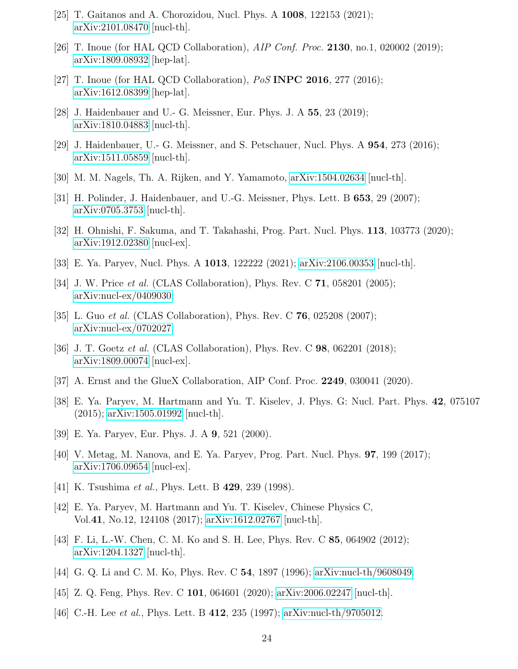- [25] T. Gaitanos and A. Chorozidou, Nucl. Phys. A 1008, 122153 (2021); [arXiv:2101.08470](http://arxiv.org/abs/2101.08470) [nucl-th].
- [26] T. Inoue (for HAL QCD Collaboration), AIP Conf. Proc. 2130, no.1, 020002 (2019); [arXiv:1809.08932](http://arxiv.org/abs/1809.08932) [hep-lat].
- [27] T. Inoue (for HAL QCD Collaboration),  $PoS$  INPC 2016, 277 (2016); [arXiv:1612.08399](http://arxiv.org/abs/1612.08399) [hep-lat].
- [28] J. Haidenbauer and U.- G. Meissner, Eur. Phys. J. A 55, 23 (2019); [arXiv:1810.04883](http://arxiv.org/abs/1810.04883) [nucl-th].
- [29] J. Haidenbauer, U.- G. Meissner, and S. Petschauer, Nucl. Phys. A 954, 273 (2016); [arXiv:1511.05859](http://arxiv.org/abs/1511.05859) [nucl-th].
- [30] M. M. Nagels, Th. A. Rijken, and Y. Yamamoto, [arXiv:1504.02634](http://arxiv.org/abs/1504.02634) [nucl-th].
- [31] H. Polinder, J. Haidenbauer, and U.-G. Meissner, Phys. Lett. B 653, 29 (2007); [arXiv:0705.3753](http://arxiv.org/abs/0705.3753) [nucl-th].
- [32] H. Ohnishi, F. Sakuma, and T. Takahashi, Prog. Part. Nucl. Phys. 113, 103773 (2020); [arXiv:1912.02380](http://arxiv.org/abs/1912.02380) [nucl-ex].
- [33] E. Ya. Paryev, Nucl. Phys. A 1013, 122222 (2021); [arXiv:2106.00353](http://arxiv.org/abs/2106.00353) [nucl-th].
- [34] J. W. Price *et al.* (CLAS Collaboration), Phys. Rev. C **71**, 058201 (2005); [arXiv:nucl-ex/0409030.](http://arxiv.org/abs/nucl-ex/0409030)
- [35] L. Guo *et al.* (CLAS Collaboration), Phys. Rev. C  $76$ , 025208 (2007); [arXiv:nucl-ex/0702027.](http://arxiv.org/abs/nucl-ex/0702027)
- [36] J. T. Goetz *et al.* (CLAS Collaboration), Phys. Rev. C **98**, 062201 (2018); [arXiv:1809.00074](http://arxiv.org/abs/1809.00074) [nucl-ex].
- [37] A. Ernst and the GlueX Collaboration, AIP Conf. Proc. 2249, 030041 (2020).
- [38] E. Ya. Paryev, M. Hartmann and Yu. T. Kiselev, J. Phys. G: Nucl. Part. Phys. 42, 075107 (2015); [arXiv:1505.01992](http://arxiv.org/abs/1505.01992) [nucl-th].
- [39] E. Ya. Paryev, Eur. Phys. J. A 9, 521 (2000).
- [40] V. Metag, M. Nanova, and E. Ya. Paryev, Prog. Part. Nucl. Phys. 97, 199 (2017); [arXiv:1706.09654](http://arxiv.org/abs/1706.09654) [nucl-ex].
- [41] K. Tsushima *et al.*, Phys. Lett. B **429**, 239 (1998).
- [42] E. Ya. Paryev, M. Hartmann and Yu. T. Kiselev, Chinese Physics C, Vol.41, No.12, 124108 (2017); [arXiv:1612.02767](http://arxiv.org/abs/1612.02767) [nucl-th].
- [43] F. Li, L.-W. Chen, C. M. Ko and S. H. Lee, Phys. Rev. C 85, 064902 (2012); [arXiv:1204.1327](http://arxiv.org/abs/1204.1327) [nucl-th].
- [44] G. Q. Li and C. M. Ko, Phys. Rev. C 54, 1897 (1996); [arXiv:nucl-th/9608049.](http://arxiv.org/abs/nucl-th/9608049)
- [45] Z. Q. Feng, Phys. Rev. C 101, 064601 (2020); [arXiv:2006.02247](http://arxiv.org/abs/2006.02247) [nucl-th].
- [46] C.-H. Lee et al., Phys. Lett. B 412, 235 (1997); [arXiv:nucl-th/9705012.](http://arxiv.org/abs/nucl-th/9705012)